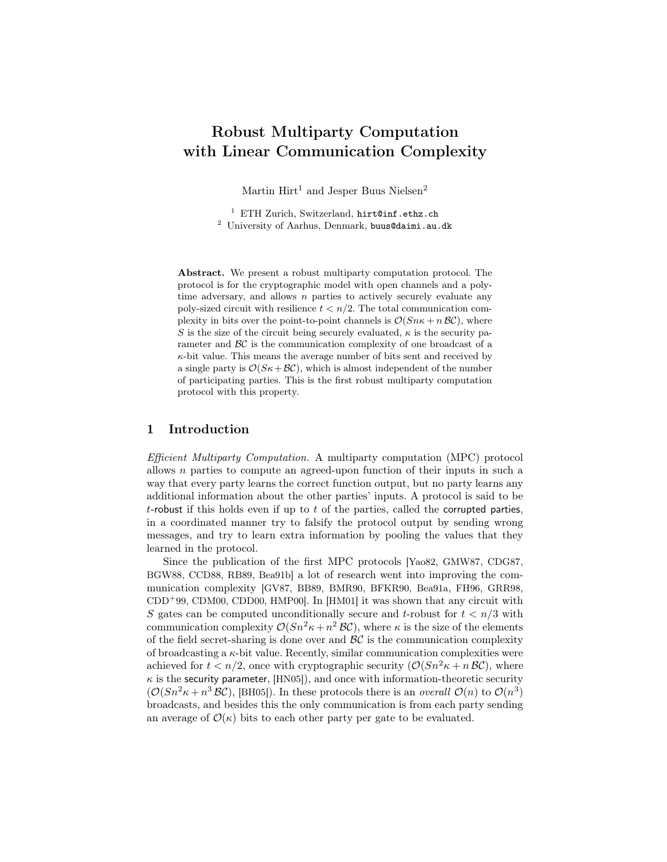# Robust Multiparty Computation with Linear Communication Complexity

Martin  $\text{Hirt}^1$  and Jesper Buus Nielsen<sup>2</sup>

<sup>1</sup> ETH Zurich, Switzerland, hirt@inf.ethz.ch <sup>2</sup> University of Aarhus, Denmark, buus@daimi.au.dk

Abstract. We present a robust multiparty computation protocol. The protocol is for the cryptographic model with open channels and a polytime adversary, and allows  $n$  parties to actively securely evaluate any poly-sized circuit with resilience  $t < n/2$ . The total communication complexity in bits over the point-to-point channels is  $\mathcal{O}(Sn\kappa+n\mathcal{BC})$ , where S is the size of the circuit being securely evaluated,  $\kappa$  is the security parameter and  $\beta \mathcal{C}$  is the communication complexity of one broadcast of a  $\kappa$ -bit value. This means the average number of bits sent and received by a single party is  $\mathcal{O}(S_{\kappa}+\mathcal{B}\mathcal{C})$ , which is almost independent of the number of participating parties. This is the first robust multiparty computation protocol with this property.

# 1 Introduction

Efficient Multiparty Computation. A multiparty computation (MPC) protocol allows n parties to compute an agreed-upon function of their inputs in such a way that every party learns the correct function output, but no party learns any additional information about the other parties' inputs. A protocol is said to be t-robust if this holds even if up to  $t$  of the parties, called the corrupted parties, in a coordinated manner try to falsify the protocol output by sending wrong messages, and try to learn extra information by pooling the values that they learned in the protocol.

Since the publication of the first MPC protocols [Yao82, GMW87, CDG87, BGW88, CCD88, RB89, Bea91b] a lot of research went into improving the communication complexity [GV87, BB89, BMR90, BFKR90, Bea91a, FH96, GRR98,  $CDD<sup>+</sup>99$ , CDM00, CDD00, HMP00. In [HM01] it was shown that any circuit with S gates can be computed unconditionally secure and t-robust for  $t < n/3$  with communication complexity  $\mathcal{O}(Sn^2\kappa+n^2\mathcal{BC})$ , where  $\kappa$  is the size of the elements of the field secret-sharing is done over and  $\beta \mathcal{C}$  is the communication complexity of broadcasting a  $\kappa$ -bit value. Recently, similar communication complexities were achieved for  $t < n/2$ , once with cryptographic security  $(\mathcal{O}(Sn^2 \kappa + n \mathcal{BC}))$ , where  $\kappa$  is the security parameter, [HN05]), and once with information-theoretic security  $(\mathcal{O}(Sn^2 \kappa + n^3 BC), [\text{BH05}])$ . In these protocols there is an *overall*  $\mathcal{O}(n)$  to  $\mathcal{O}(n^3)$ broadcasts, and besides this the only communication is from each party sending an average of  $\mathcal{O}(\kappa)$  bits to each other party per gate to be evaluated.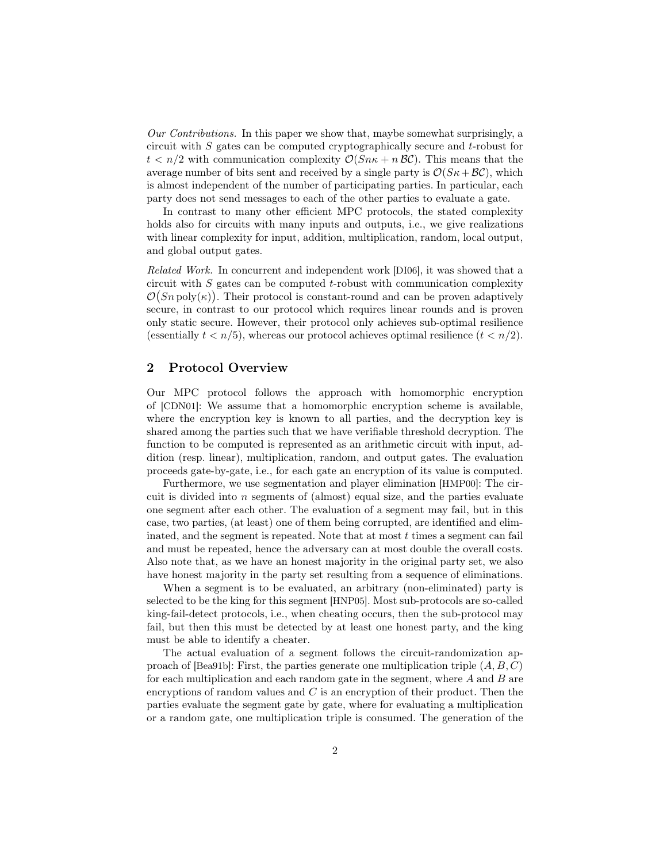Our Contributions. In this paper we show that, maybe somewhat surprisingly, a circuit with  $S$  gates can be computed cryptographically secure and  $t$ -robust for  $t < n/2$  with communication complexity  $\mathcal{O}(Sn\kappa + n\mathcal{B}\mathcal{C})$ . This means that the average number of bits sent and received by a single party is  $\mathcal{O}(S_{\kappa}+\mathcal{BC})$ , which is almost independent of the number of participating parties. In particular, each party does not send messages to each of the other parties to evaluate a gate.

In contrast to many other efficient MPC protocols, the stated complexity holds also for circuits with many inputs and outputs, i.e., we give realizations with linear complexity for input, addition, multiplication, random, local output, and global output gates.

Related Work. In concurrent and independent work [DI06], it was showed that a circuit with  $S$  gates can be computed  $t$ -robust with communication complexity  $\mathcal{O}(Sn \text{ poly}(\kappa))$ . Their protocol is constant-round and can be proven adaptively secure, in contrast to our protocol which requires linear rounds and is proven only static secure. However, their protocol only achieves sub-optimal resilience (essentially  $t < n/5$ ), whereas our protocol achieves optimal resilience  $(t < n/2)$ .

# 2 Protocol Overview

Our MPC protocol follows the approach with homomorphic encryption of [CDN01]: We assume that a homomorphic encryption scheme is available, where the encryption key is known to all parties, and the decryption key is shared among the parties such that we have verifiable threshold decryption. The function to be computed is represented as an arithmetic circuit with input, addition (resp. linear), multiplication, random, and output gates. The evaluation proceeds gate-by-gate, i.e., for each gate an encryption of its value is computed.

Furthermore, we use segmentation and player elimination [HMP00]: The circuit is divided into n segments of (almost) equal size, and the parties evaluate one segment after each other. The evaluation of a segment may fail, but in this case, two parties, (at least) one of them being corrupted, are identified and eliminated, and the segment is repeated. Note that at most  $t$  times a segment can fail and must be repeated, hence the adversary can at most double the overall costs. Also note that, as we have an honest majority in the original party set, we also have honest majority in the party set resulting from a sequence of eliminations.

When a segment is to be evaluated, an arbitrary (non-eliminated) party is selected to be the king for this segment [HNP05]. Most sub-protocols are so-called king-fail-detect protocols, i.e., when cheating occurs, then the sub-protocol may fail, but then this must be detected by at least one honest party, and the king must be able to identify a cheater.

The actual evaluation of a segment follows the circuit-randomization approach of [Bea91b]: First, the parties generate one multiplication triple  $(A, B, C)$ for each multiplication and each random gate in the segment, where  $A$  and  $B$  are encryptions of random values and  $C$  is an encryption of their product. Then the parties evaluate the segment gate by gate, where for evaluating a multiplication or a random gate, one multiplication triple is consumed. The generation of the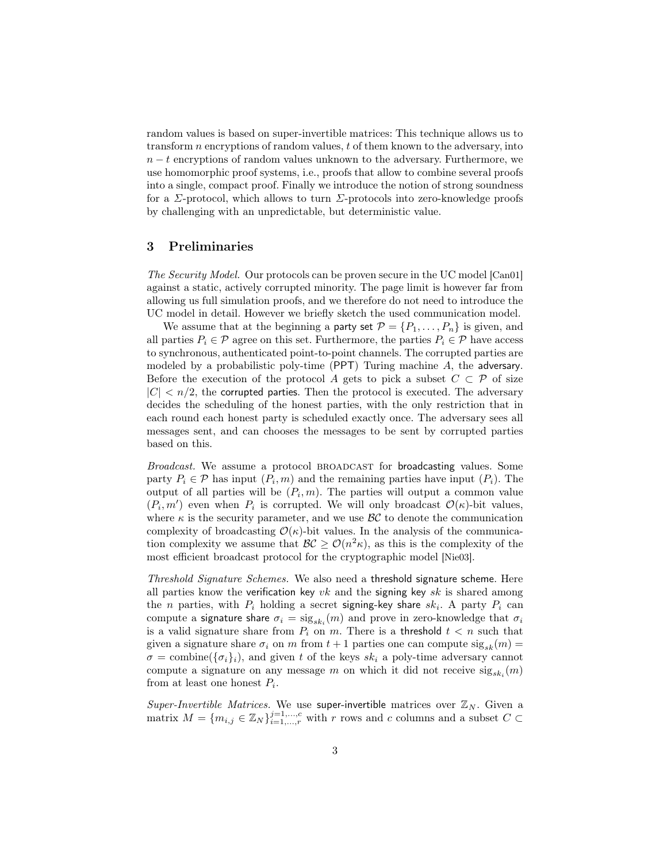random values is based on super-invertible matrices: This technique allows us to transform  $n$  encryptions of random values,  $t$  of them known to the adversary, into  $n - t$  encryptions of random values unknown to the adversary. Furthermore, we use homomorphic proof systems, i.e., proofs that allow to combine several proofs into a single, compact proof. Finally we introduce the notion of strong soundness for a  $\Sigma$ -protocol, which allows to turn  $\Sigma$ -protocols into zero-knowledge proofs by challenging with an unpredictable, but deterministic value.

# 3 Preliminaries

The Security Model. Our protocols can be proven secure in the UC model [Can01] against a static, actively corrupted minority. The page limit is however far from allowing us full simulation proofs, and we therefore do not need to introduce the UC model in detail. However we briefly sketch the used communication model.

We assume that at the beginning a party set  $\mathcal{P} = \{P_1, \ldots, P_n\}$  is given, and all parties  $P_i \in \mathcal{P}$  agree on this set. Furthermore, the parties  $P_i \in \mathcal{P}$  have access to synchronous, authenticated point-to-point channels. The corrupted parties are modeled by a probabilistic poly-time (PPT) Turing machine  $A$ , the adversary. Before the execution of the protocol A gets to pick a subset  $C \subset \mathcal{P}$  of size  $|C| < n/2$ , the corrupted parties. Then the protocol is executed. The adversary decides the scheduling of the honest parties, with the only restriction that in each round each honest party is scheduled exactly once. The adversary sees all messages sent, and can chooses the messages to be sent by corrupted parties based on this.

Broadcast. We assume a protocol BROADCAST for broadcasting values. Some party  $P_i \in \mathcal{P}$  has input  $(P_i, m)$  and the remaining parties have input  $(P_i)$ . The output of all parties will be  $(P_i, m)$ . The parties will output a common value  $(P_i, m')$  even when  $P_i$  is corrupted. We will only broadcast  $\mathcal{O}(\kappa)$ -bit values, where  $\kappa$  is the security parameter, and we use  $\beta\mathcal{C}$  to denote the communication complexity of broadcasting  $\mathcal{O}(\kappa)$ -bit values. In the analysis of the communication complexity we assume that  $\mathcal{BC} \geq \mathcal{O}(n^2 \kappa)$ , as this is the complexity of the most efficient broadcast protocol for the cryptographic model [Nie03].

Threshold Signature Schemes. We also need a threshold signature scheme. Here all parties know the verification key  $vk$  and the signing key  $sk$  is shared among the *n* parties, with  $P_i$  holding a secret signing-key share  $sk_i$ . A party  $P_i$  can compute a signature share  $\sigma_i = \text{sig}_{sk_i}(m)$  and prove in zero-knowledge that  $\sigma_i$ is a valid signature share from  $P_i$  on m. There is a threshold  $t < n$  such that given a signature share  $\sigma_i$  on m from  $t+1$  parties one can compute  $sig_{sk}(m)$  =  $\sigma = \text{combine}(\{\sigma_i\}_i)$ , and given t of the keys sk<sub>i</sub> a poly-time adversary cannot compute a signature on any message  $m$  on which it did not receive  $\text{sig}_{sk_i}(m)$ from at least one honest  $P_i$ .

Super-Invertible Matrices. We use super-invertible matrices over  $\mathbb{Z}_N$ . Given a matrix  $M = \{m_{i,j} \in \mathbb{Z}_N\}_{i=1,\dots,r}^{j=1,\dots,c}$  with r rows and c columns and a subset  $C \subset$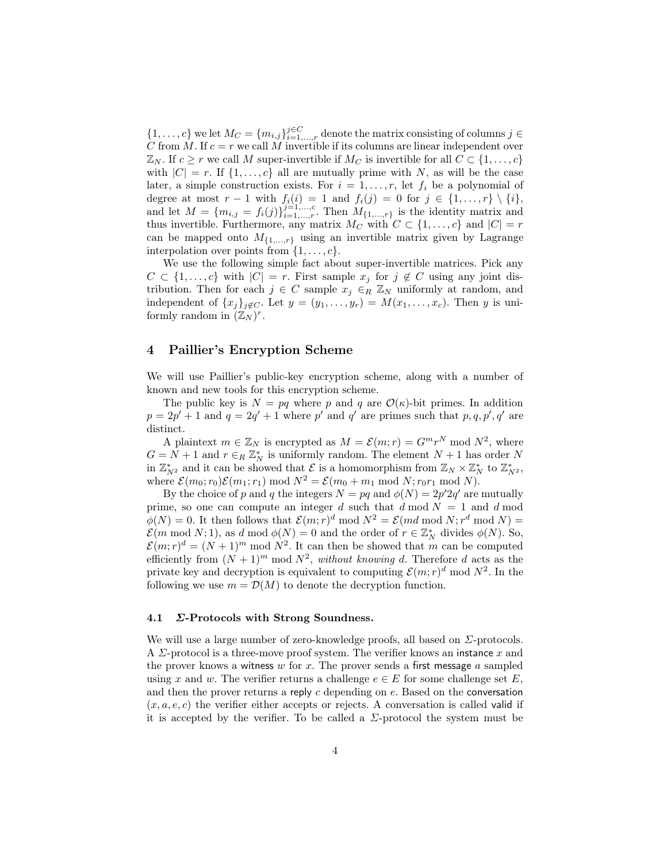$\{1,\ldots,c\}$  we let  $M_C = \{m_{i,j}\}_{i=1,\ldots,r}^{j \in C}$  denote the matrix consisting of columns  $j \in$ C from M. If  $c = r$  we call M invertible if its columns are linear independent over  $\mathbb{Z}_N$ . If  $c \geq r$  we call M super-invertible if  $M_C$  is invertible for all  $C \subset \{1, \ldots, c\}$ with  $|C| = r$ . If  $\{1, \ldots, c\}$  all are mutually prime with N, as will be the case later, a simple construction exists. For  $i = 1, \ldots, r$ , let  $f_i$  be a polynomial of degree at most  $r - 1$  with  $f_i(i) = 1$  and  $f_i(j) = 0$  for  $j \in \{1, ..., r\} \setminus \{i\},$ and let  $M = \{m_{i,j} = f_i(j)\}_{i=1,\ldots,r}^{j=1,\ldots,c}$ . Then  $M_{\{1,\ldots,r\}}$  is the identity matrix and thus invertible. Furthermore, any matrix  $M_C$  with  $C \subset \{1, \ldots, c\}$  and  $|C| = r$ can be mapped onto  $M_{\{1,\ldots,r\}}$  using an invertible matrix given by Lagrange interpolation over points from  $\{1, \ldots, c\}$ .

We use the following simple fact about super-invertible matrices. Pick any  $C \subset \{1, \ldots, c\}$  with  $|C| = r$ . First sample  $x_j$  for  $j \notin C$  using any joint distribution. Then for each  $j \in C$  sample  $x_j \in_R \mathbb{Z}_N$  uniformly at random, and independent of  $\{x_j\}_{j \notin C}$ . Let  $y = (y_1, \ldots, y_r) = M(x_1, \ldots, x_c)$ . Then y is uniformly random in  $(\mathbb{Z}_N)^r$ .

### 4 Paillier's Encryption Scheme

We will use Paillier's public-key encryption scheme, along with a number of known and new tools for this encryption scheme.

The public key is  $N = pq$  where p and q are  $\mathcal{O}(\kappa)$ -bit primes. In addition  $p = 2p' + 1$  and  $q = 2q' + 1$  where p' and q' are primes such that  $p, q, p', q'$  are distinct.

A plaintext  $m \in \mathbb{Z}_N$  is encrypted as  $M = \mathcal{E}(m; r) = G^m r^N \text{ mod } N^2$ , where  $G = N + 1$  and  $r \in_R \mathbb{Z}_N^*$  is uniformly random. The element  $N + 1$  has order N in  $\mathbb{Z}_{N^2}^*$  and it can be showed that  $\mathcal{E}$  is a homomorphism from  $\mathbb{Z}_N \times \mathbb{Z}_N^*$  to  $\mathbb{Z}_{N^2}^*$ , where  $\mathcal{E}(m_0; r_0)\mathcal{E}(m_1; r_1) \bmod N^2 = \mathcal{E}(m_0 + m_1 \bmod N; r_0r_1 \bmod N).$ 

By the choice of p and q the integers  $N = pq$  and  $\phi(N) = 2p'2q'$  are mutually prime, so one can compute an integer d such that  $d \mod N = 1$  and  $d \mod N$  $\phi(N) = 0$ . It then follows that  $\mathcal{E}(m; r)^d \mod N^2 = \mathcal{E}(md \mod N; r^d \mod N)$  $\mathcal{E}(m \bmod N; 1)$ , as d mod  $\phi(N) = 0$  and the order of  $r \in \mathbb{Z}_N^*$  divides  $\phi(N)$ . So,  $\mathcal{E}(m;r)^d = (N+1)^m \bmod N^2$ . It can then be showed that m can be computed efficiently from  $(N + 1)^m$  mod  $N^2$ , without knowing d. Therefore d acts as the private key and decryption is equivalent to computing  $\mathcal{E}(m;r)^d \mod N^2$ . In the following we use  $m = \mathcal{D}(M)$  to denote the decryption function.

## 4.1 Σ-Protocols with Strong Soundness.

We will use a large number of zero-knowledge proofs, all based on  $\Sigma$ -protocols. A  $\Sigma$ -protocol is a three-move proof system. The verifier knows an instance x and the prover knows a witness w for x. The prover sends a first message a sampled using x and w. The verifier returns a challenge  $e \in E$  for some challenge set E, and then the prover returns a reply c depending on  $e$ . Based on the conversation  $(x, a, e, c)$  the verifier either accepts or rejects. A conversation is called valid if it is accepted by the verifier. To be called a  $\Sigma$ -protocol the system must be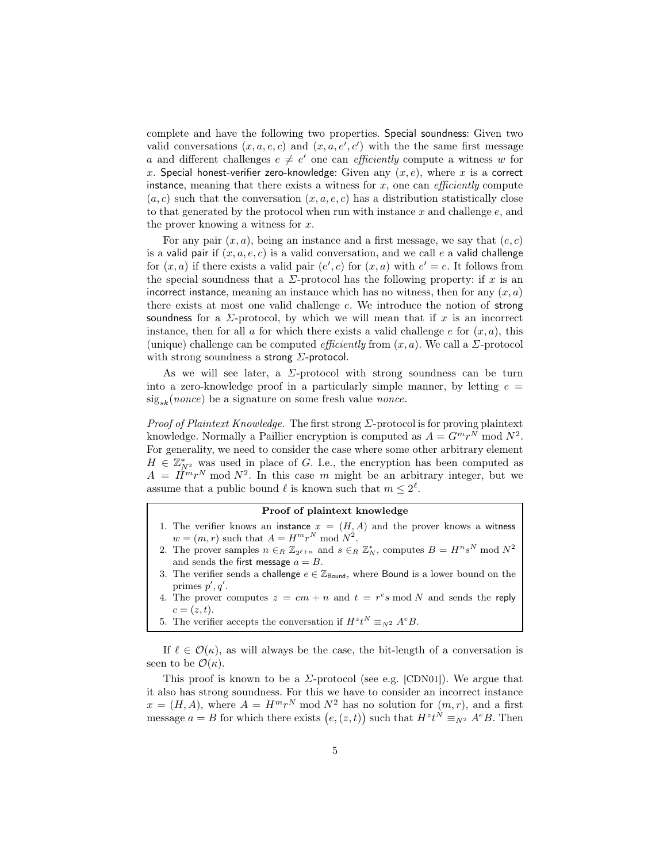complete and have the following two properties. Special soundness: Given two valid conversations  $(x, a, e, c)$  and  $(x, a, e', c')$  with the the same first message a and different challenges  $e \neq e'$  one can *efficiently* compute a witness w for x. Special honest-verifier zero-knowledge: Given any  $(x, e)$ , where x is a correct instance, meaning that there exists a witness for  $x$ , one can *efficiently* compute  $(a, c)$  such that the conversation  $(x, a, e, c)$  has a distribution statistically close to that generated by the protocol when run with instance  $x$  and challenge  $e$ , and the prover knowing a witness for  $x$ .

For any pair  $(x, a)$ , being an instance and a first message, we say that  $(e, c)$ is a valid pair if  $(x, a, e, c)$  is a valid conversation, and we call e a valid challenge for  $(x, a)$  if there exists a valid pair  $(e', c)$  for  $(x, a)$  with  $e' = e$ . It follows from the special soundness that a  $\Sigma$ -protocol has the following property: if x is an incorrect instance, meaning an instance which has no witness, then for any  $(x, a)$ there exists at most one valid challenge e. We introduce the notion of strong soundness for a  $\Sigma$ -protocol, by which we will mean that if x is an incorrect instance, then for all a for which there exists a valid challenge  $e$  for  $(x, a)$ , this (unique) challenge can be computed *efficiently* from  $(x, a)$ . We call a  $\Sigma$ -protocol with strong soundness a strong Σ-protocol.

As we will see later, a  $\Sigma$ -protocol with strong soundness can be turn into a zero-knowledge proof in a particularly simple manner, by letting  $e =$  $sig_{sk}(nonce)$  be a signature on some fresh value nonce.

*Proof of Plaintext Knowledge.* The first strong  $\Sigma$ -protocol is for proving plaintext knowledge. Normally a Paillier encryption is computed as  $A = G^{m}r^{N} \text{ mod } N^{2}$ . For generality, we need to consider the case where some other arbitrary element  $H \in \mathbb{Z}_{N^2}^*$  was used in place of G. I.e., the encryption has been computed as  $A = H^{m}r^{N}$  mod  $N^{2}$ . In this case m might be an arbitrary integer, but we assume that a public bound  $\ell$  is known such that  $m \leq 2^{\ell}$ .

#### Proof of plaintext knowledge

- 1. The verifier knows an instance  $x = (H, A)$  and the prover knows a witness  $w = (m, r)$  such that  $A = H^m r^N \text{ mod } N^2$ .
- 2. The prover samples  $n \in_R \mathbb{Z}_{2^{\ell+n}}$  and  $s \in_R \mathbb{Z}_N^*$ , computes  $B = H^n s^N \text{ mod } N^2$ and sends the first message  $a = B$ .
- 3. The verifier sends a challenge  $e \in \mathbb{Z}_{\text{Bound}}$ , where Bound is a lower bound on the primes  $p', q'.$
- 4. The prover computes  $z = em + n$  and  $t = r<sup>e</sup> s \mod N$  and sends the reply  $c = (z, t).$
- 5. The verifier accepts the conversation if  $H^*t^N \equiv_{N^2} A^e B$ .

If  $\ell \in \mathcal{O}(\kappa)$ , as will always be the case, the bit-length of a conversation is seen to be  $\mathcal{O}(\kappa)$ .

This proof is known to be a  $\Sigma$ -protocol (see e.g. [CDN01]). We argue that it also has strong soundness. For this we have to consider an incorrect instance  $x = (H, A)$ , where  $A = H^m r^N \mod N^2$  has no solution for  $(m, r)$ , and a first message  $a = B$  for which there exists  $(e, (z, t))$  such that  $H^z t^N \equiv_{N^2} A^e B$ . Then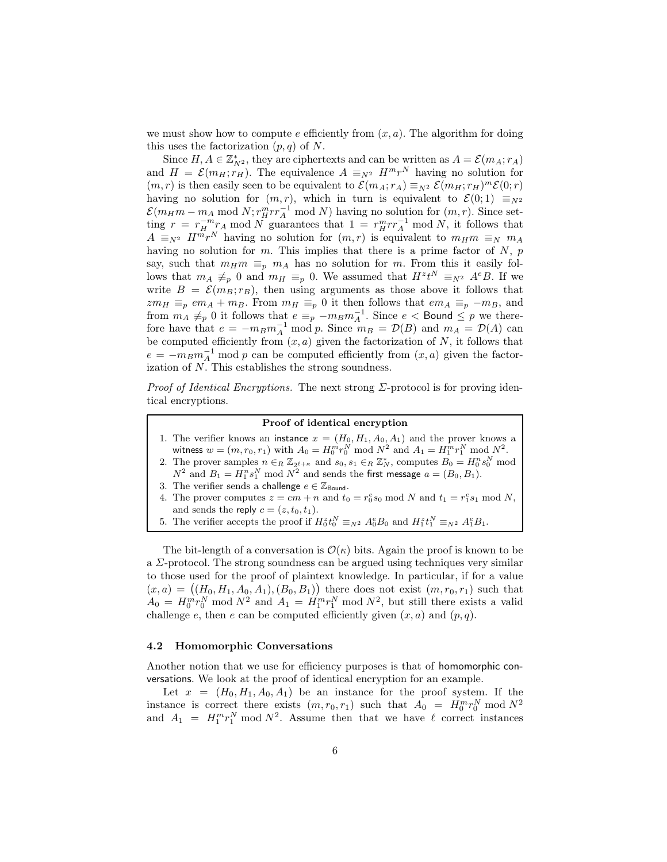we must show how to compute e efficiently from  $(x, a)$ . The algorithm for doing this uses the factorization  $(p, q)$  of N.

Since  $H, A \in \mathbb{Z}_{N^2}^*$ , they are ciphertexts and can be written as  $A = \mathcal{E}(m_A; r_A)$ and  $H = \mathcal{E}(m_H; r_H)$ . The equivalence  $A \equiv_{N^2} H^m r^N$  having no solution for  $(m, r)$  is then easily seen to be equivalent to  $\mathcal{E}(m_A; r_A) \equiv_{N^2} \mathcal{E}(m_H; r_H)^m \mathcal{E}(0; r)$ having no solution for  $(m, r)$ , which in turn is equivalent to  $\mathcal{E}(0, 1) \equiv_{N^2}$  $\mathcal{E}(m_H m - m_A \mod N; r_H^m r \bar{r}_A^{-1} \mod N)$  having no solution for  $(m, r)$ . Since setting  $r = r_H^{-m} r_A \mod N$  guarantees that  $1 = r_H^m r_A^{-1} \mod N$ , it follows that  $A \equiv_{N^2} H^m r^N$  having no solution for  $(m, r)$  is equivalent to  $m_H m \equiv_N m_A$ having no solution for  $m$ . This implies that there is a prime factor of  $N$ ,  $p$ say, such that  $m_H m \equiv_p m_A$  has no solution for m. From this it easily follows that  $m_A \neq_p 0$  and  $m_H \equiv_p 0$ . We assumed that  $H^z t^N \equiv_{N^2} A^e B$ . If we write  $B = \mathcal{E}(m_B; r_B)$ , then using arguments as those above it follows that  $zm_H \equiv_p em_A + m_B$ . From  $m_H \equiv_p 0$  it then follows that  $em_A \equiv_p -m_B$ , and from  $m_A \not\equiv_p 0$  it follows that  $e \equiv_p^{\bullet} - m_B m_A^{-1}$ . Since  $e <$  Bound  $\leq p$  we therefore have that  $e = -m_B m_A^{-1} \mod p$ . Since  $m_B = \mathcal{D}(B)$  and  $m_A = \mathcal{D}(A)$  can be computed efficiently from  $(x, a)$  given the factorization of N, it follows that  $e = -m_B m_A^{-1}$  mod p can be computed efficiently from  $(x, a)$  given the factorization of N. This establishes the strong soundness.

*Proof of Identical Encryptions.* The next strong  $\Sigma$ -protocol is for proving identical encryptions.

#### Proof of identical encryption

1. The verifier knows an instance  $x = (H_0, H_1, A_0, A_1)$  and the prover knows a witness  $w = (m, r_0, r_1)$  with  $A_0 = H_0^m r_0^N \bmod N^2$  and  $A_1 = H_1^m r_1^N \bmod N^2$ . 2. The prover samples  $n \in R \mathbb{Z}_{2^{\ell+n}}$  and  $s_0, s_1 \in R \mathbb{Z}_N^*$ , computes  $B_0 = H_0^n s_0^N$  mod  $N^2$  and  $B_1 = H_1^n s_1^N \bmod N^2$  and sends the first message  $a = (B_0, B_1)$ . 3. The verifier sends a challenge  $e \in \mathbb{Z}_{\mathsf{Bound}}$ . 4. The prover computes  $z = em + n$  and  $t_0 = r_0^e s_0 \text{ mod } N$  and  $t_1 = r_1^e s_1 \text{ mod } N$ , and sends the reply  $c = (z, t_0, t_1)$ . 5. The verifier accepts the proof if  $H_0^z t_0^N \equiv_{N^2} A_0^e B_0$  and  $H_1^z t_1^N \equiv_{N^2} A_1^e B_1$ .

The bit-length of a conversation is  $\mathcal{O}(\kappa)$  bits. Again the proof is known to be a Σ-protocol. The strong soundness can be argued using techniques very similar to those used for the proof of plaintext knowledge. In particular, if for a value  $(x, a) = ((H_0, H_1, A_0, A_1), (B_0, B_1))$  there does not exist  $(m, r_0, r_1)$  such that  $A_0 = H_0^m r_0^N \text{ mod } N^2$  and  $A_1 = H_1^m r_1^N \text{ mod } N^2$ , but still there exists a valid challenge e, then e can be computed efficiently given  $(x, a)$  and  $(p, q)$ .

#### 4.2 Homomorphic Conversations

Another notion that we use for efficiency purposes is that of homomorphic conversations. We look at the proof of identical encryption for an example.

Let  $x = (H_0, H_1, A_0, A_1)$  be an instance for the proof system. If the instance is correct there exists  $(m, r_0, r_1)$  such that  $A_0 = H_0^m r_0^N \text{ mod } N^2$ and  $A_1 = H_1^m r_1^N \mod N^2$ . Assume then that we have  $\ell$  correct instances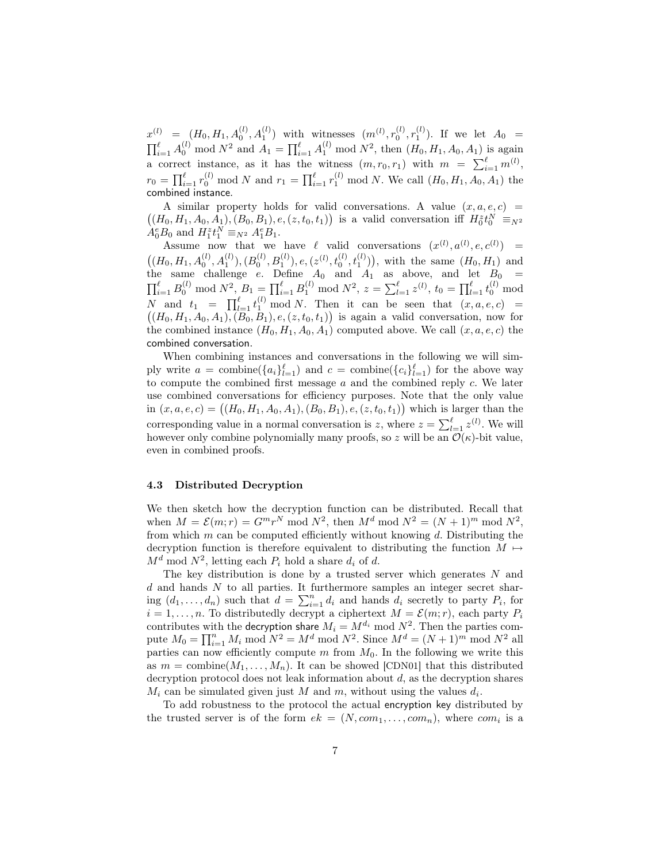$x^{(l)} = (H_0, H_1, A_0^{(l)}, A_1^{(l)})$  with witnesses  $(m^{(l)}, r_0^{(l)}, r_1^{(l)})$ . If we let  $A_0 =$  $\prod_{i=1}^{\ell} A_0^{(l)}$  mod  $N^2$  and  $A_1 = \prod_{i=1}^{\ell} A_1^{(l)}$  mod  $N^2$ , then  $(H_0, H_1, A_0, A_1)$  is again a correct instance, as it has the witness  $(m, r_0, r_1)$  with  $m = \sum_{i=1}^{\ell} m^{(l)}$ ,  $r_0 = \prod_{i=1}^{\ell} r_0^{(l)}$  mod N and  $r_1 = \prod_{i=1}^{\ell} r_1^{(l)}$  mod N. We call  $(H_0, H_1, A_0, A_1)$  the combined instance.

 $((H_0, H_1, A_0, A_1), (B_0, B_1), e, (z, t_0, t_1))$  is a valid conversation iff  $H_0^z t_0^N \equiv_{N^2}$ A similar property holds for valid conversations. A value  $(x, a, e, c)$  $A_0^e B_0$  and  $H_1^z t_1^N \equiv_{N^2} A_1^e B_1$ .

Assume now that we have  $\ell$  valid conversations  $(x^{(l)}, a^{(l)}, e, c^{(l)}) =$  $((H_0, H_1, A_0^{(l)}, A_1^{(l)}), (B_0^{(l)}, B_1^{(l)}), e, (z^{(l)}, t_0^{(l)}, t_1^{(l)})),$  with the same  $(H_0, H_1)$  and the same challenge e. Define  $A_0$  and  $A_1$  as above, and let  $B_0 =$  $\prod_{i=1}^{\ell} B_0^{(l)} \mod N^2$ ,  $B_1 = \prod_{i=1}^{\ell} B_1^{(l)} \mod N^2$ ,  $z = \sum_{l=1}^{\ell} z^{(l)}$ ,  $t_0 = \prod_{l=1}^{\ell} t_0^{(l)} \mod N^2$ N and  $t_1 = \prod_{l=1}^{\ell} t_1^{(l)} \mod N$ . Then it can be seen that  $(x, a, e, c)$  =  $((H_0, H_1, A_0, A_1), (B_0, B_1), e, (z, t_0, t_1))$  is again a valid conversation, now for the combined instance  $(H_0, H_1, A_0, A_1)$  computed above. We call  $(x, a, e, c)$  the combined conversation.

When combining instances and conversations in the following we will simply write  $a = \text{combine}(\{a_i\}_{i=1}^{\ell})$  and  $c = \text{combine}(\{c_i\}_{i=1}^{\ell})$  for the above way to compute the combined first message  $a$  and the combined reply  $c$ . We later use combined conversations for efficiency purposes. Note that the only value in  $(x, a, e, c) = ((H_0, H_1, A_0, A_1), (B_0, B_1), e, (z, t_0, t_1))$  which is larger than the corresponding value in a normal conversation is z, where  $z = \sum_{l=1}^{\ell} z^{(l)}$ . We will however only combine polynomially many proofs, so z will be an  $\mathcal{O}(\kappa)$ -bit value, even in combined proofs.

### 4.3 Distributed Decryption

We then sketch how the decryption function can be distributed. Recall that when  $M = \mathcal{E}(m; r) = G^m r^N \text{ mod } N^2$ , then  $M^d \text{ mod } N^2 = (N+1)^m \text{ mod } N^2$ , from which  $m$  can be computed efficiently without knowing  $d$ . Distributing the decryption function is therefore equivalent to distributing the function  $M \mapsto$  $M^d$  mod  $N^2$ , letting each  $P_i$  hold a share  $d_i$  of d.

The key distribution is done by a trusted server which generates N and  $d$  and hands  $N$  to all parties. It furthermore samples an integer secret sharing  $(d_1, \ldots, d_n)$  such that  $d = \sum_{i=1}^n d_i$  and hands  $d_i$  secretly to party  $P_i$ , for  $i = 1, \ldots, n$ . To distributedly decrypt a ciphertext  $M = \mathcal{E}(m; r)$ , each party  $P_i$ contributes with the decryption share  $M_i = M^{d_i} \bmod N^2$ . Then the parties compute  $M_0 = \prod_{i=1}^n M_i \mod N^2 = M^d \mod N^2$ . Since  $M^d = (N+1)^m \mod N^2$  all parties can now efficiently compute m from  $M_0$ . In the following we write this as  $m = \text{combine}(M_1, \ldots, M_n)$ . It can be showed [CDN01] that this distributed decryption protocol does not leak information about d, as the decryption shares  $M_i$  can be simulated given just M and m, without using the values  $d_i$ .

To add robustness to the protocol the actual encryption key distributed by the trusted server is of the form  $ek = (N, com_1, \ldots, com_n)$ , where  $com_i$  is a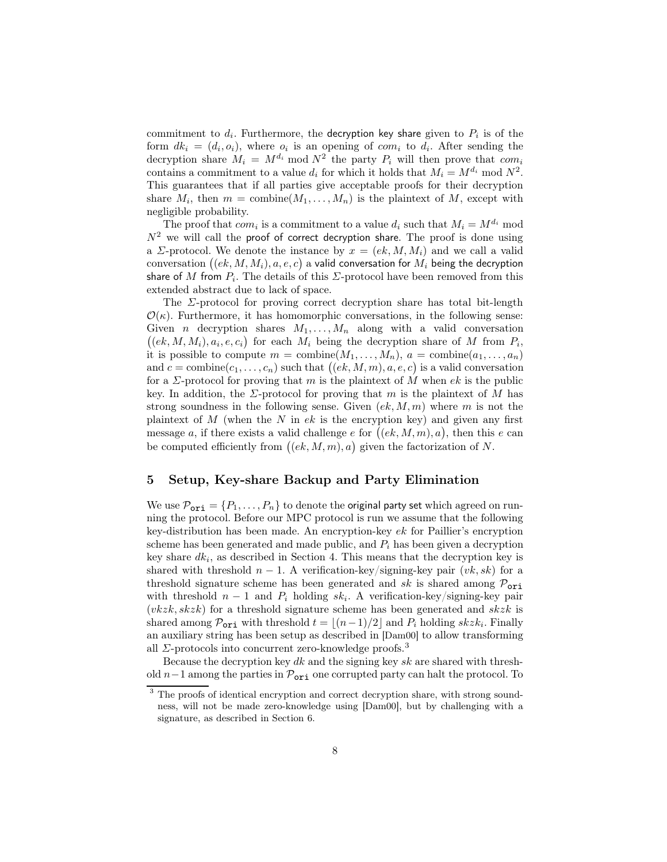commitment to  $d_i$ . Furthermore, the decryption key share given to  $P_i$  is of the form  $dk_i = (d_i, o_i)$ , where  $o_i$  is an opening of  $com_i$  to  $d_i$ . After sending the decryption share  $M_i = M^{d_i} \mod N^2$  the party  $P_i$  will then prove that  $com_i$ contains a commitment to a value  $d_i$  for which it holds that  $M_i = M^{d_i} \mod N^2$ . This guarantees that if all parties give acceptable proofs for their decryption share  $M_i$ , then  $m = \text{combine}(M_1, \ldots, M_n)$  is the plaintext of M, except with negligible probability.

The proof that  $com_i$  is a commitment to a value  $d_i$  such that  $M_i = M^{d_i}$  mod  $N^2$  we will call the proof of correct decryption share. The proof is done using a  $\Sigma$ -protocol. We denote the instance by  $x = (ek, M, M<sub>i</sub>)$  and we call a valid  $\text{conversion } \bigl((ek, M, M_i), a, e, c\bigr)$  a valid conversation for  $M_i$  being the decryption share of  $M$  from  $P_i.$  The details of this  $\Sigma\text{-protocol}$  have been removed from this extended abstract due to lack of space.

The Σ-protocol for proving correct decryption share has total bit-length  $\mathcal{O}(\kappa)$ . Furthermore, it has homomorphic conversations, in the following sense: Given *n* decryption shares  $M_1, \ldots, M_n$  along with a valid conversation  $((ek, M, M_i), a_i, e, c_i)$  for each  $M_i$  being the decryption share of M from  $P_i$ , it is possible to compute  $m = \text{combine}(M_1, \ldots, M_n), a = \text{combine}(a_1, \ldots, a_n)$ and  $c = \text{combine}(c_1, \ldots, c_n)$  such that  $((ek, M, m), a, e, c)$  is a valid conversation for a  $\Sigma$ -protocol for proving that m is the plaintext of M when ek is the public key. In addition, the  $\Sigma$ -protocol for proving that m is the plaintext of M has strong soundness in the following sense. Given  $(ek, M, m)$  where m is not the plaintext of  $M$  (when the  $N$  in  $ek$  is the encryption key) and given any first message a, if there exists a valid challenge e for  $((ek, M, m), a)$ , then this e can be computed efficiently from  $((ek, M, m), a)$  given the factorization of N.

# 5 Setup, Key-share Backup and Party Elimination

We use  $\mathcal{P}_{ori} = \{P_1, \ldots, P_n\}$  to denote the original party set which agreed on running the protocol. Before our MPC protocol is run we assume that the following key-distribution has been made. An encryption-key ek for Paillier's encryption scheme has been generated and made public, and  $P_i$  has been given a decryption key share  $dk_i$ , as described in Section 4. This means that the decryption key is shared with threshold  $n-1$ . A verification-key/signing-key pair  $(vk, sk)$  for a threshold signature scheme has been generated and sk is shared among  $\mathcal{P}_{ori}$ with threshold  $n-1$  and  $P_i$  holding  $sk_i$ . A verification-key/signing-key pair  $(vkzk, skzk)$  for a threshold signature scheme has been generated and  $skzk$  is shared among  $\mathcal{P}_{\text{ori}}$  with threshold  $t = \lfloor (n-1)/2 \rfloor$  and  $P_i$  holding skz $k_i$ . Finally an auxiliary string has been setup as described in [Dam00] to allow transforming all  $\Sigma$ -protocols into concurrent zero-knowledge proofs.<sup>3</sup>

Because the decryption key dk and the signing key  $sk$  are shared with threshold  $n-1$  among the parties in  $\mathcal{P}_{ori}$  one corrupted party can halt the protocol. To

<sup>&</sup>lt;sup>3</sup> The proofs of identical encryption and correct decryption share, with strong soundness, will not be made zero-knowledge using [Dam00], but by challenging with a signature, as described in Section 6.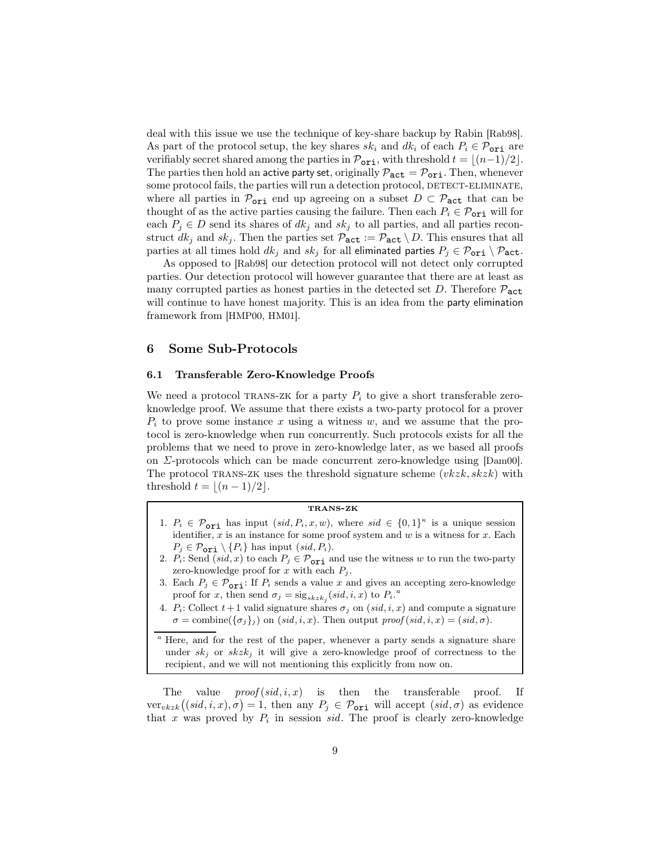deal with this issue we use the technique of key-share backup by Rabin [Rab98]. As part of the protocol setup, the key shares  $sk_i$  and  $dk_i$  of each  $P_i \in \mathcal{P}_{ori}$  are verifiably secret shared among the parties in  $\mathcal{P}_{ori}$ , with threshold  $t = \lfloor (n-1)/2 \rfloor$ . The parties then hold an active party set, originally  $P_{\text{act}} = P_{\text{ori}}$ . Then, whenever some protocol fails, the parties will run a detection protocol, DETECT-ELIMINATE, where all parties in  $\mathcal{P}_{ori}$  end up agreeing on a subset  $D \subset \mathcal{P}_{act}$  that can be thought of as the active parties causing the failure. Then each  $P_i \in \mathcal{P}_{\text{ori}}$  will for each  $P_j \in D$  send its shares of  $dk_j$  and  $sk_j$  to all parties, and all parties reconstruct  $dk_j$  and  $sk_j$ . Then the parties set  $\mathcal{P}_{\text{act}} := \mathcal{P}_{\text{act}} \setminus D$ . This ensures that all parties at all times hold  $dk_j$  and  $sk_j$  for all eliminated parties  $P_j \in \mathcal{P}_{ori} \setminus \mathcal{P}_{act}$ .

As opposed to [Rab98] our detection protocol will not detect only corrupted parties. Our detection protocol will however guarantee that there are at least as many corrupted parties as honest parties in the detected set D. Therefore  $\mathcal{P}_{\text{act}}$ will continue to have honest majority. This is an idea from the party elimination framework from [HMP00, HM01].

# 6 Some Sub-Protocols

### 6.1 Transferable Zero-Knowledge Proofs

We need a protocol TRANS-ZK for a party  $P_i$  to give a short transferable zeroknowledge proof. We assume that there exists a two-party protocol for a prover  $P_i$  to prove some instance x using a witness w, and we assume that the protocol is zero-knowledge when run concurrently. Such protocols exists for all the problems that we need to prove in zero-knowledge later, as we based all proofs on Σ-protocols which can be made concurrent zero-knowledge using [Dam00]. The protocol TRANS-ZK uses the threshold signature scheme  $(vkzk, skzk)$  with threshold  $t = \lfloor (n - 1)/2 \rfloor$ .

## trans-zk

- 1.  $P_i \in \mathcal{P}_{\text{ori}}$  has input  $(sid, P_i, x, w)$ , where  $sid \in \{0, 1\}^{\kappa}$  is a unique session identifier,  $x$  is an instance for some proof system and  $w$  is a witness for  $x$ . Each  $P_j \in \mathcal{P}_{\text{ori}} \setminus \{P_i\}$  has input  $(sid, P_i)$ .
- 2.  $P_i$ : Send  $(sid, x)$  to each  $P_j \in \mathcal{P}_{\text{ori}}$  and use the witness w to run the two-party zero-knowledge proof for x with each  $P_i$ .
- 3. Each  $P_j \in \mathcal{P}_{\text{ori}}$ : If  $P_i$  sends a value x and gives an accepting zero-knowledge proof for x, then send  $\sigma_j = \text{sig}_{skzk_j}(sid, i, x)$  to  $P_i$ .
- 4.  $P_i$ : Collect  $t+1$  valid signature shares  $\sigma_j$  on  $(sid, i, x)$  and compute a signature  $\sigma = \text{combine}(\{\sigma_i\}_i)$  on  $(sid, i, x)$ . Then output  $proof(sid, i, x) = (sid, \sigma)$ .

<sup>a</sup> Here, and for the rest of the paper, whenever a party sends a signature share under  $sk_j$  or  $skzk_j$  it will give a zero-knowledge proof of correctness to the recipient, and we will not mentioning this explicitly from now on.

The value  $proof(sid, i, x)$  is then the transferable proof. If  $ver_{vkk}((sid, i, x), \sigma) = 1$ , then any  $P_j \in \mathcal{P}_{ori}$  will accept  $(sid, \sigma)$  as evidence that x was proved by  $P_i$  in session sid. The proof is clearly zero-knowledge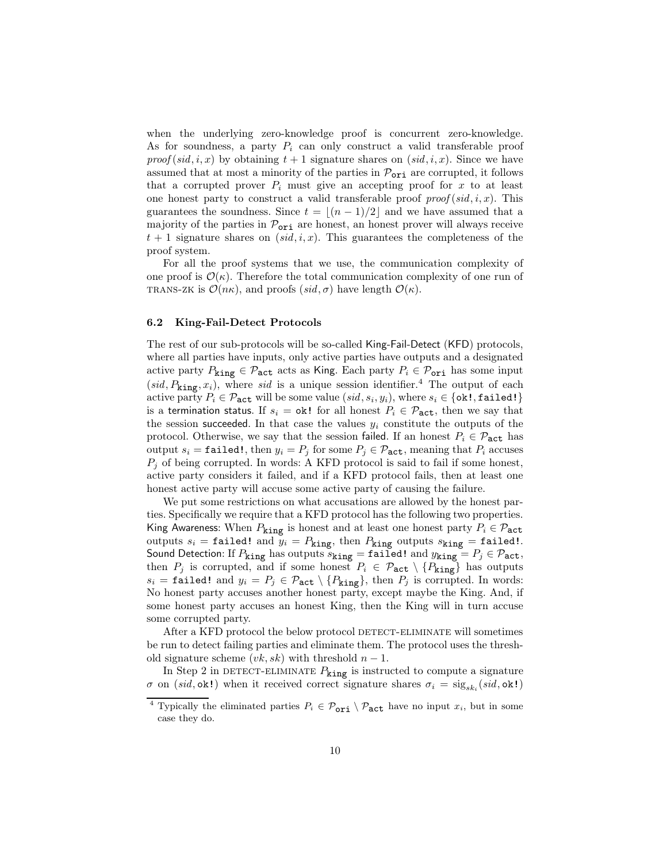when the underlying zero-knowledge proof is concurrent zero-knowledge. As for soundness, a party  $P_i$  can only construct a valid transferable proof  $proof(sid, i, x)$  by obtaining  $t + 1$  signature shares on  $(sid, i, x)$ . Since we have assumed that at most a minority of the parties in  $\mathcal{P}_{ori}$  are corrupted, it follows that a corrupted prover  $P_i$  must give an accepting proof for x to at least one honest party to construct a valid transferable proof  $proof(sid, i, x)$ . This guarantees the soundness. Since  $t = |(n - 1)/2|$  and we have assumed that a majority of the parties in  $\mathcal{P}_{ori}$  are honest, an honest prover will always receive  $t + 1$  signature shares on  $(sid, i, x)$ . This guarantees the completeness of the proof system.

For all the proof systems that we use, the communication complexity of one proof is  $\mathcal{O}(\kappa)$ . Therefore the total communication complexity of one run of TRANS-ZK is  $\mathcal{O}(n\kappa)$ , and proofs  $(sid, \sigma)$  have length  $\mathcal{O}(\kappa)$ .

### 6.2 King-Fail-Detect Protocols

The rest of our sub-protocols will be so-called King-Fail-Detect (KFD) protocols, where all parties have inputs, only active parties have outputs and a designated active party  $P_{\text{king}} \in \mathcal{P}_{\text{act}}$  acts as King. Each party  $P_i \in \mathcal{P}_{\text{ori}}$  has some input  $(sid, P_{\text{king}}, x_i)$ , where sid is a unique session identifier.<sup>4</sup> The output of each active party  $P_i \in \mathcal{P}_{\texttt{act}}$  will be some value  $(sid, s_i, y_i)$ , where  $s_i \in \{\texttt{ok!, failed!}\}$ is a termination status. If  $s_i = \alpha k!$  for all honest  $P_i \in \mathcal{P}_{\text{act}}$ , then we say that the session succeeded. In that case the values  $y_i$  constitute the outputs of the protocol. Otherwise, we say that the session failed. If an honest  $P_i \in \mathcal{P}_{act}$  has output  $s_i = \texttt{failed!},$  then  $y_i = P_j$  for some  $P_j \in \mathcal{P}_{\texttt{act}}$ , meaning that  $P_i$  accuses  $P_i$  of being corrupted. In words: A KFD protocol is said to fail if some honest, active party considers it failed, and if a KFD protocol fails, then at least one honest active party will accuse some active party of causing the failure.

We put some restrictions on what accusations are allowed by the honest parties. Specifically we require that a KFD protocol has the following two properties. King Awareness: When  $P_{\texttt{king}}$  is honest and at least one honest party  $P_i \in \mathcal{P}_{\texttt{act}}$ outputs  $s_i$  = failed! and  $y_i = P_{\text{king}}$ , then  $P_{\text{king}}$  outputs  $s_{\text{king}}$  = failed!. Sound Detection: If  $P_{\text{king}}$  has outputs  $s_{\text{king}} = \text{failed!}$  and  $y_{\text{king}} = P_j \in \mathcal{P}_{\text{act}}$ , then  $P_j$  is corrupted, and if some honest  $P_i \in \mathcal{P}_{act} \setminus \{P_{\text{king}}\}$  has outputs  $s_i = \texttt{failed!}$  and  $y_i = P_j \in \mathcal{P}_{\texttt{act}} \setminus \{P_{\texttt{king}}\}$ , then  $P_j$  is corrupted. In words: No honest party accuses another honest party, except maybe the King. And, if some honest party accuses an honest King, then the King will in turn accuse some corrupted party.

After a KFD protocol the below protocol DETECT-ELIMINATE will sometimes be run to detect failing parties and eliminate them. The protocol uses the threshold signature scheme  $(vk, sk)$  with threshold  $n - 1$ .

In Step 2 in DETECT-ELIMINATE  $P_{\text{king}}$  is instructed to compute a signature σ on (sid, ok!) when it received correct signature shares  $\sigma_i = sig_{sk_i}(sid, ok!)$ 

<sup>&</sup>lt;sup>4</sup> Typically the eliminated parties  $P_i \in \mathcal{P}_{ori} \setminus \mathcal{P}_{act}$  have no input  $x_i$ , but in some case they do.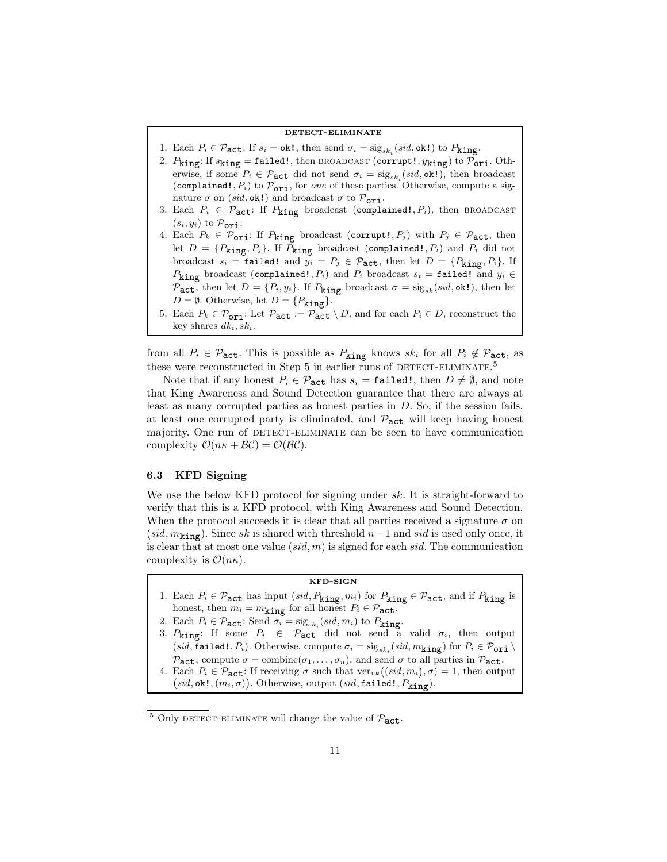### detect-eliminate

- 1. Each  $P_i \in \mathcal{P}_{\texttt{act}}$ : If  $s_i = \texttt{ok}!$ , then send  $\sigma_i = \text{sig}_{sk_i}(sid, \texttt{ok}!)$  to  $P_{\texttt{king}}$ .
- 2.  $P_{\text{king}}$ : If  $s_{\text{king}} = \text{failed!},$  then BROADCAST (corrupt!,  $y_{\text{king}}$ ) to  $\overline{P_{\text{ori}}}$ . Otherwise, if some  $P_i \in \mathcal{P}_{\text{act}}$  did not send  $\sigma_i = \text{sig}_{sk_i}(sid, \text{ok}!)$ , then broadcast (complained!,  $P_i$ ) to  $\mathcal{P}_{ori}$ , for one of these parties. Otherwise, compute a signature  $\sigma$  on (sid, ok!) and broadcast  $\sigma$  to  $\mathcal{P}_{ori}$ .
- 3. Each  $P_i \in \mathcal{P}_{\text{act}}$ : If  $P_{\text{king}}$  broadcast (complained!,  $P_i$ ), then BROADCAST  $(s_i, y_i)$  to  $\mathcal{P}_{\text{ori}}$ .
- 4. Each  $P_k \in \mathcal{P}_{\text{ori}}$ : If  $P_{\text{king}}$  broadcast (corrupt!,  $P_j$ ) with  $P_j \in \mathcal{P}_{\text{act}}$ , then let  $D = {P_{\text{king}}, P_j}$ . If  $P_{\text{king}}$  broadcast (complained!,  $P_i$ ) and  $P_i$  did not broadcast  $s_i = \text{failed!}$  and  $y_i = P_j \in \mathcal{P}_{\text{act}}$ , then let  $D = \{P_{\text{king}}, P_i\}$ . If  $P_{\text{king}}$  broadcast (complained!,  $P_i$ ) and  $P_i$  broadcast  $s_i = \texttt{failed!}$  and  $y_i \in$ Pact, then let  $D = \{P_i, y_i\}$ . If  $P_{\text{king}}$  broadcast  $\sigma = \text{sig}_{sk}(sid, \text{ok}!)$ , then let  $D = \emptyset$ . Otherwise, let  $D = \{P_{\text{king}}\}.$
- 5. Each  $P_k \in \mathcal{P}_{\text{ori}}$ : Let  $\mathcal{P}_{\text{act}} := \mathcal{P}_{\text{act}} \setminus D$ , and for each  $P_i \in D$ , reconstruct the key shares  $dk_i, sk_i$ .

from all  $P_i \in \mathcal{P}_{\text{act}}$ . This is possible as  $P_{\text{king}}$  knows  $sk_i$  for all  $P_i \notin \mathcal{P}_{\text{act}}$ , as these were reconstructed in Step 5 in earlier runs of DETECT-ELIMINATE.<sup>5</sup>

Note that if any honest  $P_i \in \mathcal{P}_{act}$  has  $s_i = \text{failed!},$  then  $D \neq \emptyset$ , and note that King Awareness and Sound Detection guarantee that there are always at least as many corrupted parties as honest parties in D. So, if the session fails, at least one corrupted party is eliminated, and  $P_{\text{act}}$  will keep having honest majority. One run of DETECT-ELIMINATE can be seen to have communication complexity  $\mathcal{O}(n\kappa + \mathcal{BC}) = \mathcal{O}(\mathcal{BC})$ .

# 6.3 KFD Signing

We use the below KFD protocol for signing under sk. It is straight-forward to verify that this is a KFD protocol, with King Awareness and Sound Detection. When the protocol succeeds it is clear that all parties received a signature  $\sigma$  on (sid,  $m_{\text{king}}$ ). Since sk is shared with threshold  $n-1$  and sid is used only once, it is clear that at most one value  $(sid, m)$  is signed for each sid. The communication complexity is  $\mathcal{O}(n\kappa)$ .

#### kfd-sign

- 1. Each  $P_i \in \mathcal{P}_{\text{act}}$  has input  $(side, P_{\text{king}}, m_i)$  for  $P_{\text{king}} \in \mathcal{P}_{\text{act}}$ , and if  $P_{\text{king}}$  is honest, then  $m_i = m_{\text{king}}$  for all honest  $P_i \in \mathcal{P}_{\text{act}}$ .
- 2. Each  $P_i \in \mathcal{P}_{\text{act}}$ : Send  $\sigma_i = \text{sig}_{sk_i}(sid, m_i)$  to  $P_{\text{king}}$ .
- 3.  $P_{\text{king}}$ : If some  $P_i \in \mathcal{P}_{\text{act}}$  did not send a valid  $\sigma_i$ , then output  $(side, \texttt{failed1}, P_i)$ . Otherwise, compute  $\sigma_i = \text{sig}_{sk_i}(sid, m_{\texttt{king}})$  for  $P_i \in \mathcal{P}_{\texttt{ori}} \setminus \mathcal{P}_{\texttt{obj}}$  $\mathcal{P}_{\text{act}}$ , compute  $\sigma = \text{combine}(\sigma_1, \ldots, \sigma_n)$ , and send  $\sigma$  to all parties in  $\mathcal{P}_{\text{act}}$ .
- 4. Each  $P_i \in \mathcal{P}_{\texttt{act}}$ : If receiving  $\sigma$  such that  $ver_{vk}((sid, m_i), \sigma) = 1$ , then output  $\big(\textit{sid}, \textsf{okl}, (m_i, \sigma)\big)$ . Otherwise, output  $(\textit{sid}, \texttt{failed!,} P_{\texttt{king}}).$

<sup>&</sup>lt;sup>5</sup> Only DETECT-ELIMINATE will change the value of  $P_{\text{act}}$ .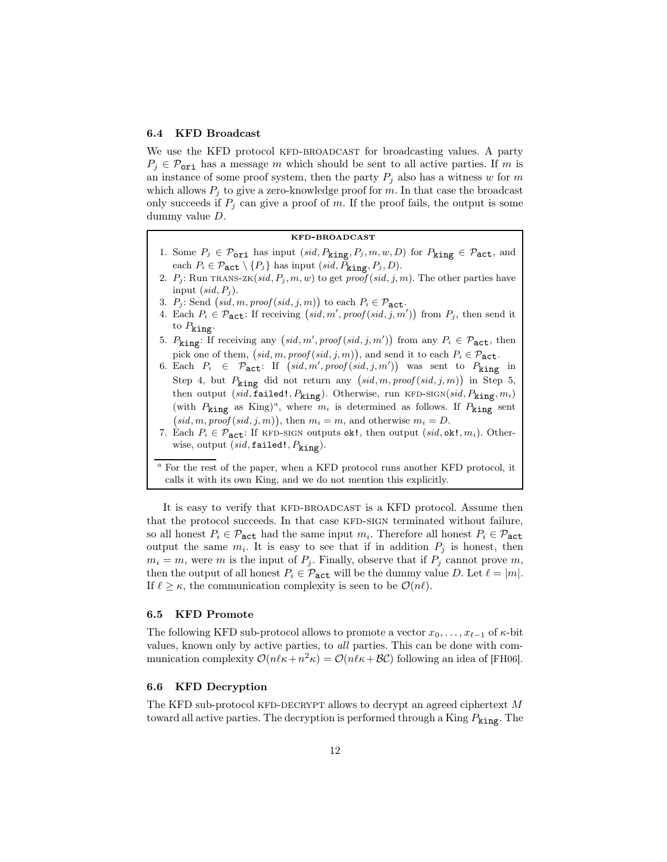#### 6.4 KFD Broadcast

We use the KFD protocol KFD-BROADCAST for broadcasting values. A party  $P_i \in \mathcal{P}_{\text{ori}}$  has a message m which should be sent to all active parties. If m is an instance of some proof system, then the party  $P_i$  also has a witness w for m which allows  $P_i$  to give a zero-knowledge proof for m. In that case the broadcast only succeeds if  $P_j$  can give a proof of m. If the proof fails, the output is some dummy value D.

### kfd-broadcast

- 1. Some  $P_j \in \mathcal{P}_{\text{ori}}$  has input  $(side, P_{\text{king}}, P_j, m, w, D)$  for  $P_{\text{king}} \in \mathcal{P}_{\text{act}}$ , and each  $P_i \in \mathcal{P}_{\texttt{act}} \setminus \{P_j\}$  has input  $(side, P_{\texttt{king}}, P_j, D)$ .
- 2.  $P_j$ : Run TRANS-ZK(sid,  $P_j$ , m, w) to get proof (sid, j, m). The other parties have input  $(sid, P_i)$ .
- 3.  $P_j$ : Send  $(sid, m, proof(sid, j, m))$  to each  $P_i \in \mathcal{P}_{\texttt{act}}$ .
- 4. Each  $P_i \in \mathcal{P}_{\text{act}}$ : If receiving  $(\text{sid}, m', \text{proof}(\text{sid}, j, m'))$  from  $P_j$ , then send it to  $P_{\text{king}}$ .
- 5.  $P_{\text{king}}$ : If receiving any  $(sid, m', proof(sid, j, m'))$  from any  $P_i \in \mathcal{P}_{\text{act}}$ , then pick one of them,  $(\textit{sid}, m, \textit{proof}(\textit{sid}, j, m)),$  and send it to each  $P_i \in \mathcal{P}_{\texttt{act}}$ .
- 6. Each  $P_i \in \mathcal{P}_{\text{act}}$ : If  $(sid, m', proof(sid, j, m'))$  was sent to  $P_{\text{king}}$  in Step 4, but  $P_{\text{king}}$  did not return any  $(sid, m, proof(sid, j, m))$  in Step 5, then output  $(sid, \mathtt{failed}, P_{\mathtt{king}})$ . Otherwise, run KFD-SIGN( $sid, P_{\mathtt{king}}, m_i$ ) (with  $P_{\text{king}}$  as King)<sup>a</sup>, where  $m_i$  is determined as follows. If  $P_{\text{king}}$  sent  $(sid, m, proof(sid, j, m))$ , then  $m_i = m$ , and otherwise  $m_i = D$ .
- 7. Each  $P_i \in \mathcal{P}_{\text{act}}$ : If KFD-SIGN outputs ok!, then output  $(sid, \text{ok}!, m_i)$ . Otherwise, output  $(sid, \texttt{failed!, } P_{\texttt{king}})$ .

<sup>a</sup> For the rest of the paper, when a KFD protocol runs another KFD protocol, it calls it with its own King, and we do not mention this explicitly.

It is easy to verify that KFD-BROADCAST is a KFD protocol. Assume then that the protocol succeeds. In that case KFD-SIGN terminated without failure, so all honest  $P_i \in \mathcal{P}_{\text{act}}$  had the same input  $m_i$ . Therefore all honest  $P_i \in \mathcal{P}_{\text{act}}$ output the same  $m_i$ . It is easy to see that if in addition  $P_j$  is honest, then  $m_i = m$ , were m is the input of  $P_j$ . Finally, observe that if  $P_j$  cannot prove m, then the output of all honest  $P_i \in \mathcal{P}_{\text{act}}$  will be the dummy value D. Let  $\ell = |m|$ . If  $\ell \geq \kappa$ , the communication complexity is seen to be  $\mathcal{O}(n\ell)$ .

#### 6.5 KFD Promote

The following KFD sub-protocol allows to promote a vector  $x_0, \ldots, x_{\ell-1}$  of  $\kappa$ -bit values, known only by active parties, to all parties. This can be done with communication complexity  $\mathcal{O}(n\ell\kappa + n^2\kappa) = \mathcal{O}(n\ell\kappa + \mathcal{BC})$  following an idea of [FH06].

### 6.6 KFD Decryption

The KFD sub-protocol KFD-DECRYPT allows to decrypt an agreed ciphertext  $M$ toward all active parties. The decryption is performed through a King  $P_{\text{king}}$ . The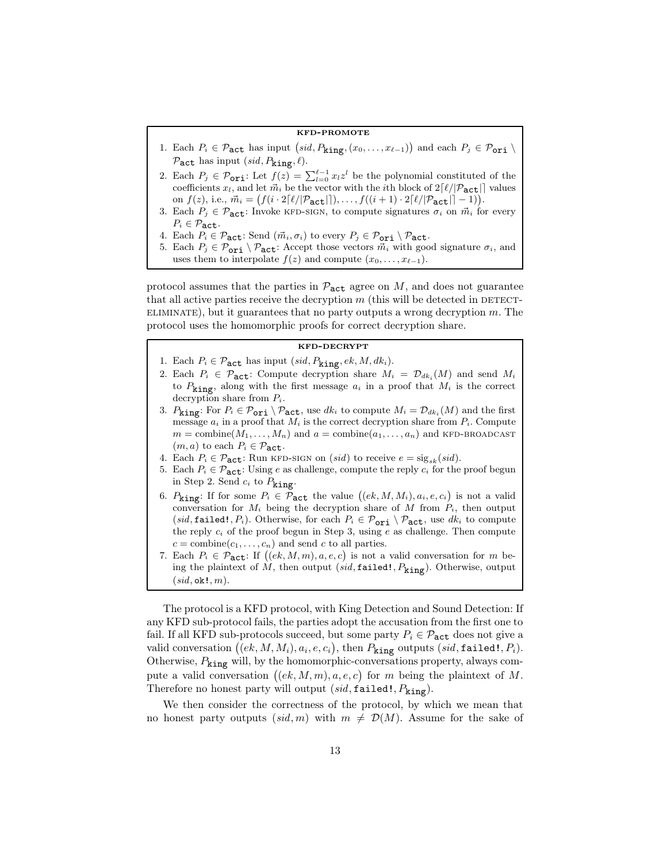#### kfd-promote

- 1. Each  $P_i \in \mathcal{P}_{\text{act}}$  has input  $(sid, P_{\text{king}}, (x_0, \ldots, x_{\ell-1}))$  and each  $P_j \in \mathcal{P}_{\text{ori}} \setminus \mathcal{P}_{\text{if}}$  $P_{\text{act}}$  has input  $(side, P_{\text{king}}, \ell)$ .
- 2. Each  $P_j \in \mathcal{P}_{\textbf{ori}}$ : Let  $f(z) = \sum_{l=0}^{\ell-1} x_l z^l$  be the polynomial constituted of the coefficients  $x_l$ , and let  $\vec{m}_i$  be the vector with the *i*th block of  $2\lceil \ell/|\mathcal{P}_{\texttt{act}}|\rceil$  values on  $f(z)$ , i.e.,  $\vec{m}_i = (f(i \cdot 2\lceil \ell/\lvert \mathcal{P}_{\texttt{act}} \rvert \rceil), \ldots, f((i+1) \cdot 2\lceil \ell/\lvert \mathcal{P}_{\texttt{act}} \rvert \rceil - 1)).$
- 3. Each  $P_j \in \mathcal{P}_{\text{act}}$ : Invoke KFD-SIGN, to compute signatures  $\sigma_i$  on  $\vec{m}_i$  for every  $P_i \in \mathcal{P}_{\texttt{act}}$ .
- 4. Each  $P_i \in \mathcal{P}_{\texttt{act}}$ : Send  $(\vec{m}_i, \sigma_i)$  to every  $P_j \in \mathcal{P}_{\texttt{ori}} \setminus \mathcal{P}_{\texttt{act}}$ .
- 5. Each  $P_j \in \mathcal{P}_{ori} \setminus \mathcal{P}_{act}$ : Accept those vectors  $\vec{m}_i$  with good signature  $\sigma_i$ , and uses them to interpolate  $f(z)$  and compute  $(x_0, \ldots, x_{\ell-1})$ .

protocol assumes that the parties in  $\mathcal{P}_{\text{act}}$  agree on M, and does not guarantee that all active parties receive the decryption  $m$  (this will be detected in DETECT- $E_L$  ELIMINATE), but it guarantees that no party outputs a wrong decryption  $m$ . The protocol uses the homomorphic proofs for correct decryption share.

### kfd-decrypt

- 1. Each  $P_i \in \mathcal{P}_{\text{act}}$  has input  $(side, P_{\text{king}}, ek, M, dk_i)$ .
- 2. Each  $P_i \in \mathcal{P}_{\text{act}}$ : Compute decryption share  $M_i = \mathcal{D}_{dk_i}(M)$  and send  $M_i$ to  $P_{\text{king}}$ , along with the first message  $a_i$  in a proof that  $M_i$  is the correct decryption share from  $P_i$ .
- 3.  $P_{\text{king}}$ : For  $P_i \in \mathcal{P}_{\text{ori}} \setminus \mathcal{P}_{\text{act}}$ , use  $dk_i$  to compute  $M_i = \mathcal{D}_{dk_i}(M)$  and the first message  $a_i$  in a proof that  $M_i$  is the correct decryption share from  $P_i$ . Compute  $m = \text{combine}(M_1, \ldots, M_n)$  and  $a = \text{combine}(a_1, \ldots, a_n)$  and KFD-BROADCAST  $(m, a)$  to each  $P_i \in \mathcal{P}_{\text{act}}$ .
- 4. Each  $P_i \in \mathcal{P}_{\text{act}}$ : Run KFD-SIGN on  $(sid)$  to receive  $e = sig_{sk}(sid)$ .
- 5. Each  $P_i \in \mathcal{P}_{\text{act}}$ : Using e as challenge, compute the reply  $c_i$  for the proof begun in Step 2. Send  $c_i$  to  $P_{\text{king}}$ .
- 6.  $P_{\text{king}}$ : If for some  $P_i \in \mathcal{P}_{\text{act}}$  the value  $((ek, M, M_i), a_i, e, c_i)$  is not a valid conversation for  $M_i$  being the decryption share of M from  $P_i$ , then output (sid, failed!,  $P_i$ ). Otherwise, for each  $P_i \in \mathcal{P}_{ori} \setminus \mathcal{P}_{act}$ , use  $dk_i$  to compute the reply  $c_i$  of the proof begun in Step 3, using  $e$  as challenge. Then compute  $c = \text{combine}(c_1, \ldots, c_n)$  and send c to all parties.
- 7. Each  $P_i \in \mathcal{P}_{\texttt{act}}$ : If  $((ek, M, m), a, e, c)$  is not a valid conversation for m being the plaintext of  $M$ , then output (sid, failed!,  $P_{\text{king}}$ ). Otherwise, output  $(sid, ok!, m).$

The protocol is a KFD protocol, with King Detection and Sound Detection: If any KFD sub-protocol fails, the parties adopt the accusation from the first one to fail. If all KFD sub-protocols succeed, but some party  $P_i \in \mathcal{P}_{\text{act}}$  does not give a valid conversation  $((ek, M, M_i), a_i, e, c_i)$ , then  $P_{\text{king}}$  outputs  $(side, \texttt{failed!,} P_i)$ . Otherwise,  $P_{\text{king}}$  will, by the homomorphic-conversations property, always compute a valid conversation  $((ek, M, m), a, e, c)$  for m being the plaintext of M. Therefore no honest party will output  $(sid, \texttt{failed!, } P_{\texttt{king}})$ .

We then consider the correctness of the protocol, by which we mean that no honest party outputs  $(sid, m)$  with  $m \neq \mathcal{D}(M)$ . Assume for the sake of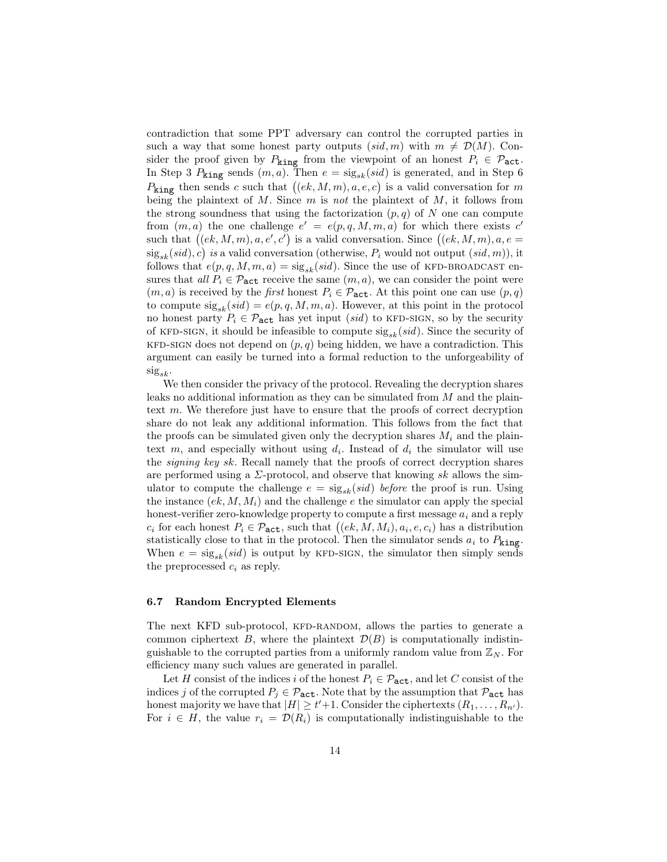contradiction that some PPT adversary can control the corrupted parties in such a way that some honest party outputs  $(sid, m)$  with  $m \neq \mathcal{D}(M)$ . Consider the proof given by  $P_{\text{king}}$  from the viewpoint of an honest  $P_i \in \mathcal{P}_{\text{act}}$ . In Step 3  $P_{\text{king}}$  sends  $(m, a)$ . Then  $e = sig_{sk}(sid)$  is generated, and in Step 6  $P_{\text{king}}$  then sends c such that  $((ek, M, m), a, e, c)$  is a valid conversation for m being the plaintext of  $M$ . Since  $m$  is not the plaintext of  $M$ , it follows from the strong soundness that using the factorization  $(p, q)$  of N one can compute from  $(m, a)$  the one challenge  $e' = e(p, q, M, m, a)$  for which there exists c' such that  $((ek, M, m), a, e', c')$  is a valid conversation. Since  $((ek, M, m), a, e =$  $\text{sig}_{sk}(sid), c)$  is a valid conversation (otherwise,  $P_i$  would not output  $(sid, m)$ ), it follows that  $e(p, q, M, m, a) = \text{sig}_{sk}(sid)$ . Since the use of KFD-BROADCAST ensures that all  $P_i \in \mathcal{P}_{\text{act}}$  receive the same  $(m, a)$ , we can consider the point were  $(m, a)$  is received by the *first* honest  $P_i \in \mathcal{P}_{\text{act}}$ . At this point one can use  $(p, q)$ to compute  $sig_{sk}(sid) = e(p, q, M, m, a)$ . However, at this point in the protocol no honest party  $P_i \in \mathcal{P}_{\text{act}}$  has yet input (sid) to KFD-SIGN, so by the security of KFD-SIGN, it should be infeasible to compute  $sig_{sk}(sid)$ . Since the security of KFD-SIGN does not depend on  $(p, q)$  being hidden, we have a contradiction. This argument can easily be turned into a formal reduction to the unforgeability of  $sig_{sk}$ .

We then consider the privacy of the protocol. Revealing the decryption shares leaks no additional information as they can be simulated from M and the plaintext m. We therefore just have to ensure that the proofs of correct decryption share do not leak any additional information. This follows from the fact that the proofs can be simulated given only the decryption shares  $M_i$  and the plaintext m, and especially without using  $d_i$ . Instead of  $d_i$  the simulator will use the signing key sk. Recall namely that the proofs of correct decryption shares are performed using a  $\Sigma$ -protocol, and observe that knowing sk allows the simulator to compute the challenge  $e = sig_{sk}(sid)$  before the proof is run. Using the instance  $(ek, M, M<sub>i</sub>)$  and the challenge e the simulator can apply the special honest-verifier zero-knowledge property to compute a first message  $a_i$  and a reply  $c_i$  for each honest  $P_i \in \mathcal{P}_{\texttt{act}}$ , such that  $((ek, M, M_i), a_i, e, c_i)$  has a distribution statistically close to that in the protocol. Then the simulator sends  $a_i$  to  $P_{\text{kinge}}$ . When  $e = sig_{sk}(sid)$  is output by KFD-SIGN, the simulator then simply sends the preprocessed  $c_i$  as reply.

### 6.7 Random Encrypted Elements

The next KFD sub-protocol, KFD-RANDOM, allows the parties to generate a common ciphertext B, where the plaintext  $\mathcal{D}(B)$  is computationally indistinguishable to the corrupted parties from a uniformly random value from  $\mathbb{Z}_N$ . For efficiency many such values are generated in parallel.

Let H consist of the indices i of the honest  $P_i \in \mathcal{P}_{\texttt{act}}$ , and let C consist of the indices j of the corrupted  $P_j \in \mathcal{P}_{\text{act}}$ . Note that by the assumption that  $\mathcal{P}_{\text{act}}$  has honest majority we have that  $|H| \ge t' + 1$ . Consider the ciphertexts  $(R_1, \ldots, R_{n'})$ . For  $i \in H$ , the value  $r_i = \mathcal{D}(R_i)$  is computationally indistinguishable to the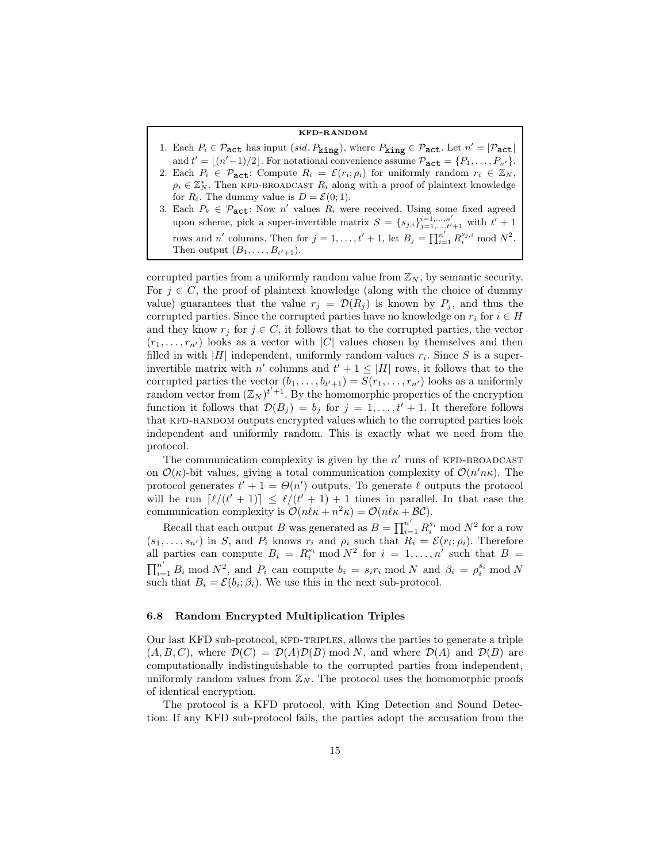#### kfd-random

- 1. Each  $P_i \in \mathcal{P}_{\texttt{act}}$  has input  $(side, P_{\texttt{king}})$ , where  $P_{\texttt{king}} \in \mathcal{P}_{\texttt{act}}$ . Let  $n' = |\mathcal{P}_{\texttt{act}}|$ and  $t' = \lfloor (n'-1)/2 \rfloor$ . For notational convenience assume  $\mathcal{P}_{\texttt{act}} = \{P_1, \ldots, P_{n'}\}.$
- 2. Each  $P_i \in \mathcal{P}_{\text{act}}$ : Compute  $R_i = \mathcal{E}(r_i; \rho_i)$  for uniformly random  $r_i \in \mathbb{Z}_N$ ,  $\rho_i \in \mathbb{Z}_N^*$ . Then KFD-BROADCAST  $R_i$  along with a proof of plaintext knowledge for  $R_i$ . The dummy value is  $D = \mathcal{E}(0, 1)$ .
- 3. Each  $P_k \in \mathcal{P}_{\text{act}}$ : Now n' values  $R_i$  were received. Using some fixed agreed upon scheme, pick a super-invertible matrix  $S = \{s_{j,i}\}_{j=1,\ldots,t'+1}^{i=1,\ldots,n'}$  with  $t' + 1$ rows and n' columns. Then for  $j = 1, ..., t' + 1$ , let  $B_j = \prod_{i=1}^{n'} R_i^{s_{j,i}}$  mod  $N^2$ . Then output  $(B_1, \ldots, B_{t'+1})$ .

corrupted parties from a uniformly random value from  $\mathbb{Z}_N$ , by semantic security. For  $j \in C$ , the proof of plaintext knowledge (along with the choice of dummy value) guarantees that the value  $r_j = \mathcal{D}(R_j)$  is known by  $P_j$ , and thus the corrupted parties. Since the corrupted parties have no knowledge on  $r_i$  for  $i \in H$ and they know  $r_j$  for  $j \in C$ , it follows that to the corrupted parties, the vector  $(r_1, \ldots, r_{n'})$  looks as a vector with |C| values chosen by themselves and then filled in with  $|H|$  independent, uniformly random values  $r_i$ . Since S is a superinvertible matrix with  $n'$  columns and  $t' + 1 \leq |H|$  rows, it follows that to the corrupted parties the vector  $(b_1, \ldots, b_{t'+1}) = S(r_1, \ldots, r_{n'})$  looks as a uniformly random vector from  $(\mathbb{Z}_N)^{t'+1}$ . By the homomorphic properties of the encryption function it follows that  $\mathcal{D}(B_j) = b_j$  for  $j = 1, \ldots, t' + 1$ . It therefore follows that KFD-RANDOM outputs encrypted values which to the corrupted parties look independent and uniformly random. This is exactly what we need from the protocol.

The communication complexity is given by the  $n'$  runs of KFD-BROADCAST on  $\mathcal{O}(\kappa)$ -bit values, giving a total communication complexity of  $\mathcal{O}(n'n\kappa)$ . The protocol generates  $t' + 1 = \Theta(n')$  outputs. To generate  $\ell$  outputs the protocol will be run  $\lceil \ell/(t'+1) \rceil \leq \ell/(t'+1) + 1$  times in parallel. In that case the communication complexity is  $\mathcal{O}(n\ell\kappa + n^2\kappa) = \mathcal{O}(n\ell\kappa + \mathcal{BC}).$ 

Recall that each output B was generated as  $B = \prod_{i=1}^{n'} R_i^{s_i} \mod N^2$  for a row  $(s_1, \ldots, s_{n'})$  in S, and  $P_i$  knows  $r_i$  and  $\rho_i$  such that  $R_i = \mathcal{E}(r_i; \rho_i)$ . Therefore all parties can compute  $B_i = R_i^{s_i} \mod N^2$  for  $i = 1, ..., n'$  such that  $B =$  $\prod_{i=1}^{n'} B_i \mod N^2$ , and  $P_i$  can compute  $b_i = s_i r_i \mod N$  and  $\beta_i = \rho_i^{s_i} \mod N$ such that  $B_i = \mathcal{E}(b_i; \beta_i)$ . We use this in the next sub-protocol.

## 6.8 Random Encrypted Multiplication Triples

Our last KFD sub-protocol, KFD-TRIPLES, allows the parties to generate a triple  $(A, B, C)$ , where  $\mathcal{D}(C) = \mathcal{D}(A)\mathcal{D}(B)$  mod N, and where  $\mathcal{D}(A)$  and  $\mathcal{D}(B)$  are computationally indistinguishable to the corrupted parties from independent, uniformly random values from  $\mathbb{Z}_N$ . The protocol uses the homomorphic proofs of identical encryption.

The protocol is a KFD protocol, with King Detection and Sound Detection: If any KFD sub-protocol fails, the parties adopt the accusation from the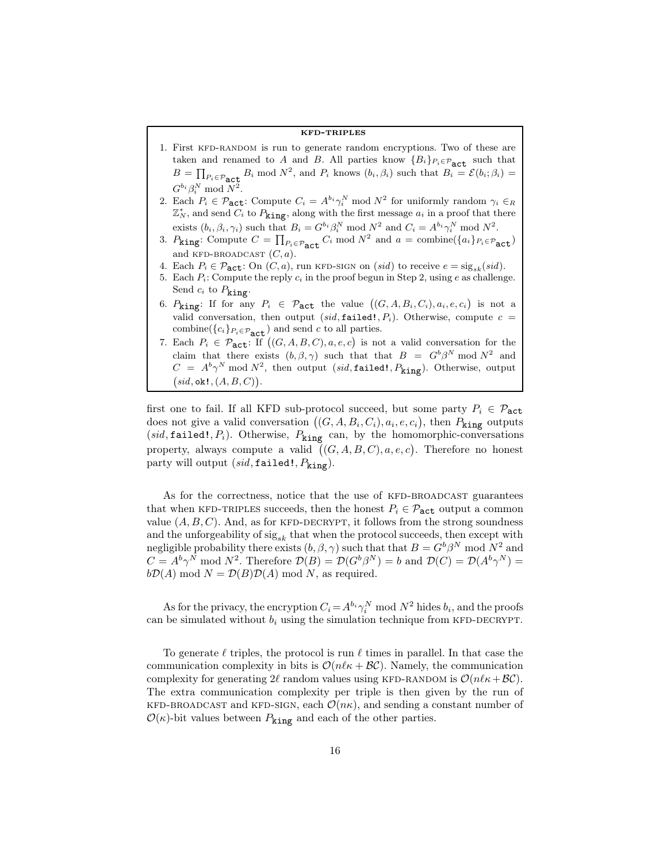#### kfd-triples

- 1. First KFD-RANDOM is run to generate random encryptions. Two of these are taken and renamed to A and B. All parties know  ${B_i}_{P_i \in \mathcal{P}_{\textbf{act}}}$  such that  $B = \prod_{P_i \in \mathcal{P}_{\text{act}}} B_i \text{ mod } N^2$ , and  $P_i$  knows  $(b_i, \beta_i)$  such that  $B_i = \mathcal{E}(b_i; \beta_i) =$  $G^{b_i} \beta_i^N \mod N^2$ .
- 2. Each  $P_i \in \mathcal{P}_{\text{act}}$ : Compute  $C_i = A^{b_i} \gamma_i^N \text{ mod } N^2$  for uniformly random  $\gamma_i \in R$  $\mathbb{Z}_N^*$ , and send  $C_i$  to  $P_{\text{king}}$ , along with the first message  $a_i$  in a proof that there exists  $(b_i, \beta_i, \gamma_i)$  such that  $B_i = G^{b_i} \beta_i^N \text{ mod } N^2$  and  $C_i = A^{b_i} \gamma_i^N \text{ mod } N^2$ .
- 3. P<sub>king</sub>: Compute  $C = \prod_{P_i \in \mathcal{P}_{\text{act}}} C_i \mod N^2$  and  $a = \text{combine}(\{a_i\}_{P_i \in \mathcal{P}_{\text{act}}})$ and KFD-BROADCAST  $(C, a)$ .
- 4. Each  $P_i \in \mathcal{P}_{\text{act}}$ : On  $(C, a)$ , run KFD-SIGN on  $(sid)$  to receive  $e = sig_{sk}(sid)$ .
- 5. Each  $P_i$ : Compute the reply  $c_i$  in the proof begun in Step 2, using e as challenge. Send  $c_i$  to  $P_{\text{king}}$ .
- 6.  $P_{\text{king}}$ : If for any  $P_i \in \mathcal{P}_{\text{act}}$  the value  $((G, A, B_i, C_i), a_i, e, c_i)$  is not a valid conversation, then output (sid, failed!,  $P_i$ ). Otherwise, compute  $c =$ combine( $\{c_i\}_{P_i \in \mathcal{P}_{\text{act}}}$ ) and send c to all parties.
- 7. Each  $P_i \in \mathcal{P}_{\texttt{act}}$ : If  $((G, A, B, C), a, e, c)$  is not a valid conversation for the claim that there exists  $(b, \beta, \gamma)$  such that that  $B = G^b \beta^N \text{ mod } N^2$  and  $C = A<sup>b</sup> \gamma<sup>N</sup>$  mod  $N<sup>2</sup>$ , then output (sid, failed!,  $P_{\textbf{king}}$ ). Otherwise, output  $(sid, \texttt{ok!,} (A, B, C)).$

first one to fail. If all KFD sub-protocol succeed, but some party  $P_i \in \mathcal{P}_{\text{act}}$ does not give a valid conversation  $((G, A, B_i, C_i), a_i, e, c_i)$ , then  $P_{\text{king}}$  outputs (sid, failed!,  $P_i$ ). Otherwise,  $P_{\text{king}}$  can, by the homomorphic-conversations property, always compute a valid  $((G, A, B, C), a, e, c)$ . Therefore no honest party will output  $(sid, \texttt{failed!, } P_{\texttt{king}})$ .

As for the correctness, notice that the use of KFD-BROADCAST guarantees that when KFD-TRIPLES succeeds, then the honest  $P_i \in \mathcal{P}_{act}$  output a common value  $(A, B, C)$ . And, as for KFD-DECRYPT, it follows from the strong soundness and the unforgeability of  $sig_{sk}$  that when the protocol succeeds, then except with negligible probability there exists  $(b, \beta, \gamma)$  such that that  $B = G^b \beta^N \text{ mod } N^2$  and  $C = A^b \gamma^N \text{ mod } N^2$ . Therefore  $\mathcal{D}(B) = \mathcal{D}(G^b \beta^N) = b$  and  $\mathcal{D}(C) = \mathcal{D}(A^b \gamma^N) =$  $b\mathcal{D}(A) \bmod N = \mathcal{D}(B)\mathcal{D}(A) \bmod N$ , as required.

As for the privacy, the encryption  $C_i = A^{b_i} \gamma_i^N \mod N^2$  hides  $b_i$ , and the proofs can be simulated without  $b_i$  using the simulation technique from KFD-DECRYPT.

To generate  $\ell$  triples, the protocol is run  $\ell$  times in parallel. In that case the communication complexity in bits is  $\mathcal{O}(n\kappa + \mathcal{BC})$ . Namely, the communication complexity for generating  $2\ell$  random values using KFD-RANDOM is  $\mathcal{O}(n\ell\kappa+\mathcal{BC})$ . The extra communication complexity per triple is then given by the run of KFD-BROADCAST and KFD-SIGN, each  $\mathcal{O}(n\kappa)$ , and sending a constant number of  $\mathcal{O}(\kappa)$ -bit values between  $P_{\text{king}}$  and each of the other parties.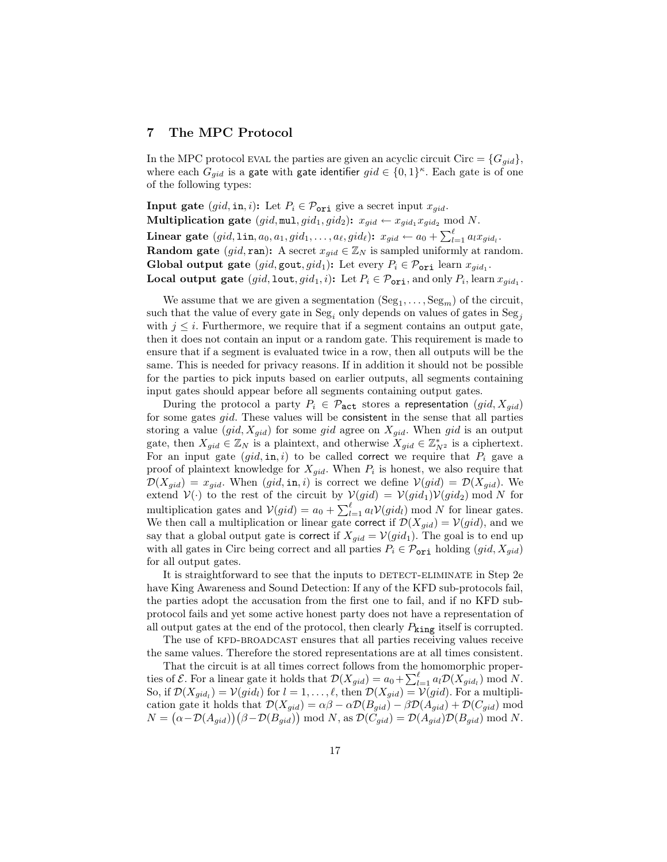# 7 The MPC Protocol

In the MPC protocol EVAL the parties are given an acyclic circuit Circ =  $\{G_{qid}\}\$ , where each  $G_{gid}$  is a gate with gate identifier  $gid \in \{0,1\}^{\kappa}$ . Each gate is of one of the following types:

**Input gate**  $(gid, in, i)$ : Let  $P_i \in \mathcal{P}_{ori}$  give a secret input  $x_{qid}$ . Multiplication gate  $(gid, \text{mul}, gid_1, gid_2): x_{gid} \leftarrow x_{gid_1} x_{gid_2} \text{ mod } N.$ Linear gate  $(gid, \text{lin}, a_0, a_1, gid_1, \ldots, a_\ell, gid_\ell): x_{gid} \leftarrow a_0 + \sum_{l=1}^\ell a_l x_{gid_l}.$ **Random gate** (gid, ran): A secret  $x_{gid} \in \mathbb{Z}_N$  is sampled uniformly at random. Global output gate  $(gid, \text{gout}, gid_1)$ : Let every  $P_i \in \mathcal{P}_{\text{ori}}$  learn  $x_{gid_1}$ . **Local output gate**  $(gid, \text{lout}, gid_1, i)$ : Let  $P_i \in \mathcal{P}_{\text{ori}}$ , and only  $P_i$ , learn  $x_{gid_1}$ .

We assume that we are given a segmentation  $(Seg_1, \ldots, Seg_m)$  of the circuit, such that the value of every gate in  $\text{Seg}_i$  only depends on values of gates in  $\text{Seg}_j$ with  $j \leq i$ . Furthermore, we require that if a segment contains an output gate, then it does not contain an input or a random gate. This requirement is made to ensure that if a segment is evaluated twice in a row, then all outputs will be the same. This is needed for privacy reasons. If in addition it should not be possible for the parties to pick inputs based on earlier outputs, all segments containing input gates should appear before all segments containing output gates.

During the protocol a party  $P_i \in \mathcal{P}_{act}$  stores a representation  $(gid, X_{gid})$ for some gates gid. These values will be consistent in the sense that all parties storing a value  $(gid, X_{gid})$  for some gid agree on  $X_{gid}$ . When gid is an output gate, then  $X_{gid} \in \mathbb{Z}_N$  is a plaintext, and otherwise  $X_{gid} \in \mathbb{Z}_{N^2}^*$  is a ciphertext. For an input gate  $(gid, in, i)$  to be called correct we require that  $P_i$  gave a proof of plaintext knowledge for  $X_{gid}$ . When  $P_i$  is honest, we also require that  $\mathcal{D}(X_{gid}) = x_{gid}$ . When  $(gid, \text{in}, i)$  is correct we define  $\mathcal{V}(gid) = \mathcal{D}(X_{gid})$ . We extend  $V(\cdot)$  to the rest of the circuit by  $V(gid) = V(gid_1)V(gid_2) \text{ mod } N$  for multiplication gates and  $V(gid) = a_0 + \sum_{l=1}^{\ell} a_l V(gid_l) \mod N$  for linear gates. We then call a multiplication or linear gate correct if  $\mathcal{D}(X_{gid}) = \mathcal{V}(gid)$ , and we say that a global output gate is correct if  $X_{gid} = V(gid_1)$ . The goal is to end up with all gates in Circ being correct and all parties  $P_i \in \mathcal{P}_{\text{ori}}$  holding  $(gid, X_{gid})$ for all output gates.

It is straightforward to see that the inputs to DETECT-ELIMINATE in Step 2e have King Awareness and Sound Detection: If any of the KFD sub-protocols fail, the parties adopt the accusation from the first one to fail, and if no KFD subprotocol fails and yet some active honest party does not have a representation of all output gates at the end of the protocol, then clearly  $P_{\text{king}}$  itself is corrupted.

The use of KFD-BROADCAST ensures that all parties receiving values receive the same values. Therefore the stored representations are at all times consistent.

That the circuit is at all times correct follows from the homomorphic properties of  $\mathcal E$ . For a linear gate it holds that  $\mathcal D(X_{gid}) = a_0 + \sum_{l=1}^{\ell} a_l \mathcal D(X_{gid_l}) \mod N$ . So, if  $\mathcal{D}(X_{gid_l}) = \mathcal{V}(gid_l)$  for  $l = 1, ..., \ell$ , then  $\mathcal{D}(X_{gid}) = \mathcal{V}(gid)$ . For a multiplication gate it holds that  $\mathcal{D}(X_{gid}) = \alpha \beta - \alpha \mathcal{D}(B_{gid}) - \beta \mathcal{D}(A_{gid}) + \mathcal{D}(C_{gid})$  mod  $N = (\alpha - \mathcal{D}(A_{gid}))(\beta - \mathcal{D}(B_{gid})) \mod N$ , as  $\mathcal{D}(C_{gid}) = \mathcal{D}(A_{gid})\mathcal{D}(B_{gid}) \mod N$ .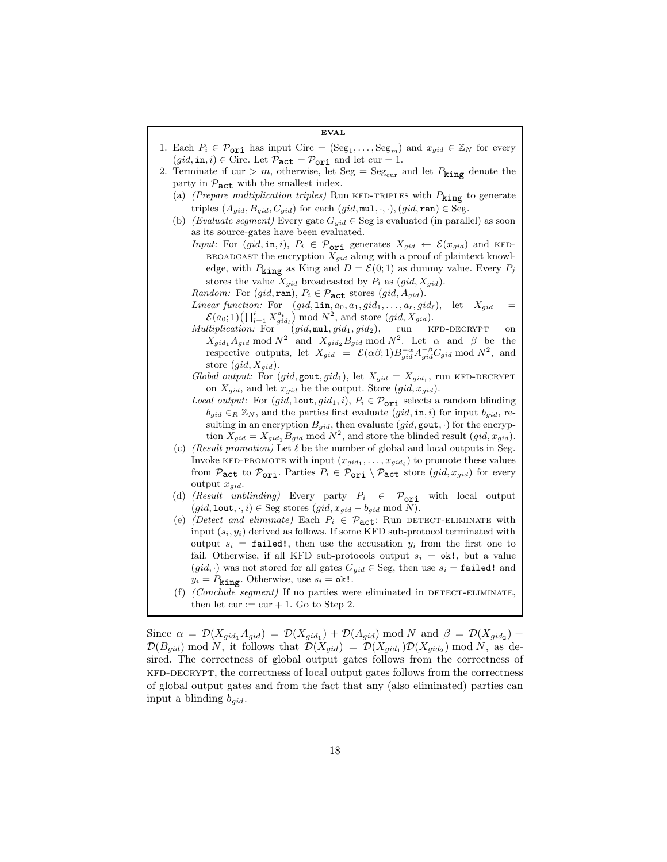| <b>EVAL</b> |     |                                                                                                                                                   |
|-------------|-----|---------------------------------------------------------------------------------------------------------------------------------------------------|
|             |     | 1. Each $P_i \in \mathcal{P}_{\text{ori}}$ has input $\text{Circ} = (\text{Seg}_1, \dots, \text{Seg}_m)$ and $x_{gid} \in \mathbb{Z}_N$ for every |
|             |     | $(gid, in, i) \in$ Circ. Let $\mathcal{P}_{\text{act}} = \mathcal{P}_{\text{ori}}$ and let cur = 1.                                               |
|             |     | 2. Terminate if cur $> m$ , otherwise, let Seg = Seg <sub>cur</sub> and let $P_{\text{king}}$ denote the                                          |
|             |     | party in $P_{\text{act}}$ with the smallest index.                                                                                                |
|             |     | (a) (Prepare multiplication triples) Run KFD-TRIPLES with $P_{\text{king}}$ to generate                                                           |
|             |     | triples $(A_{gid}, B_{gid}, C_{gid})$ for each $(gid, \text{mul}, \cdot, \cdot), (gid, \text{ran}) \in \text{Seg.}$                               |
|             |     | (b) (Evaluate segment) Every gate $G_{gid} \in \text{Seg}$ is evaluated (in parallel) as soon                                                     |
|             |     | as its source-gates have been evaluated.                                                                                                          |
|             |     | Input: For $(gid, in, i)$ , $P_i \in \mathcal{P}_{ori}$ generates $X_{gid} \leftarrow \mathcal{E}(x_{gid})$ and KFD-                              |
|             |     | BROADCAST the encryption $X_{gid}$ along with a proof of plaintext knowl-                                                                         |
|             |     | edge, with $P_{\text{king}}$ as King and $D = \mathcal{E}(0, 1)$ as dummy value. Every $P_j$                                                      |
|             |     | stores the value $X_{gid}$ broadcasted by $P_i$ as $(gid, X_{gid})$ .                                                                             |
|             |     | <i>Random:</i> For $(gid, \text{ran})$ , $P_i \in \mathcal{P}_{\text{act}}$ stores $(gid, A_{gid})$ .                                             |
|             |     | <i>Linear function:</i> For $(gid, \text{lin}, a_0, a_1, gid_1, \ldots, a_\ell, gid_\ell)$ , let $X_{gid}$<br>$=$                                 |
|             |     | $\mathcal{E}(a_0; 1)(\prod_{l=1}^{\ell} X_{qid_l}^{a_l}) \text{ mod } N^2$ , and store $(gid, X_{gid})$ .                                         |
|             |     | <i>Multiplication:</i> For<br>$(gid, \texttt{mul}, gid_1, gid_2),$ run<br>KFD-DECRYPT<br>on                                                       |
|             |     | $X_{\text{gid}_1} A_{\text{gid}}$ mod $N^2$ and $X_{\text{gid}_2} B_{\text{gid}}$ mod $N^2$ . Let $\alpha$ and $\beta$ be<br>the                  |
|             |     | respective outputs, let $X_{gid} = \mathcal{E}(\alpha\beta; 1) B_{gid}^{-\alpha} A_{gid}^{-\beta} C_{gid} \text{ mod } N^2$ , and                 |
|             |     | store $(gid, X_{gid})$ .                                                                                                                          |
|             |     | Global output: For $(gid, \text{gout}, gid_1)$ , let $X_{gid} = X_{gid_1}$ , run KFD-DECRYPT                                                      |
|             |     | on $X_{gid}$ , and let $x_{gid}$ be the output. Store $(gid, x_{gid})$ .                                                                          |
|             |     | <i>Local output:</i> For $(gid, \text{lout}, gid_1, i), P_i \in \mathcal{P}_{\text{ori}}$ selects a random blinding                               |
|             |     | $b_{gid} \in_R \mathbb{Z}_N$ , and the parties first evaluate $(gid, \text{in}, i)$ for input $b_{gid}$ , re-                                     |
|             |     | sulting in an encryption $B_{gid}$ , then evaluate $(gid, \text{gout}, \cdot)$ for the encryp-                                                    |
|             |     | tion $X_{gid} = X_{gid_1} B_{gid}$ mod $N^2$ , and store the blinded result $(gid, x_{gid})$ .                                                    |
|             |     | (c) (Result promotion) Let $\ell$ be the number of global and local outputs in Seg.                                                               |
|             |     | Invoke KFD-PROMOTE with input $(x_{gid_1}, \ldots, x_{gid_\ell})$ to promote these values                                                         |
|             |     | from $P_{\text{act}}$ to $P_{\text{ori}}$ . Parties $P_i \in P_{\text{ori}} \setminus P_{\text{act}}$ store $(gid, x_{gid})$ for every            |
|             |     | output $x_{qid}$ .                                                                                                                                |
|             | (d) | (Result unblinding) Every party $P_i \in \mathcal{P}_{\text{ori}}$<br>with local output                                                           |
|             |     | $(gid, \texttt{lout}, \cdot, i) \in \text{Seg$ stores $(gid, x_{gid} - b_{gid} \mod N)$ .                                                         |

- (e) (Detect and eliminate) Each  $P_i \in \mathcal{P}_{\text{act}}$ : Run DETECT-ELIMINATE with input  $(s_i, y_i)$  derived as follows. If some KFD sub-protocol terminated with output  $s_i$  = failed!, then use the accusation  $y_i$  from the first one to fail. Otherwise, if all KFD sub-protocols output  $s_i = \alpha k!$ , but a value  $(gid, \cdot)$  was not stored for all gates  $G_{gid} \in \text{Seg},$  then use  $s_i = \texttt{failed!}$  and  $y_i = P_{\text{king}}$ . Otherwise, use  $s_i = \text{ok}!$ .
- (f)  $(Conclude segment)$  If no parties were eliminated in DETECT-ELIMINATE, then let  $cur := cur + 1$ . Go to Step 2.

Since  $\alpha = \mathcal{D}(X_{gid_1}A_{gid}) = \mathcal{D}(X_{gid_1}) + \mathcal{D}(A_{gid})$  mod N and  $\beta = \mathcal{D}(X_{gid_2}) + \mathcal{D}(A_{gid_3})$  $\mathcal{D}(B_{gid}) \mod N$ , it follows that  $\mathcal{D}(X_{gid}) = \mathcal{D}(X_{gid_1})\mathcal{D}(X_{gid_2}) \mod N$ , as desired. The correctness of global output gates follows from the correctness of kfd-decrypt, the correctness of local output gates follows from the correctness of global output gates and from the fact that any (also eliminated) parties can input a blinding  $b_{gid}$ .

18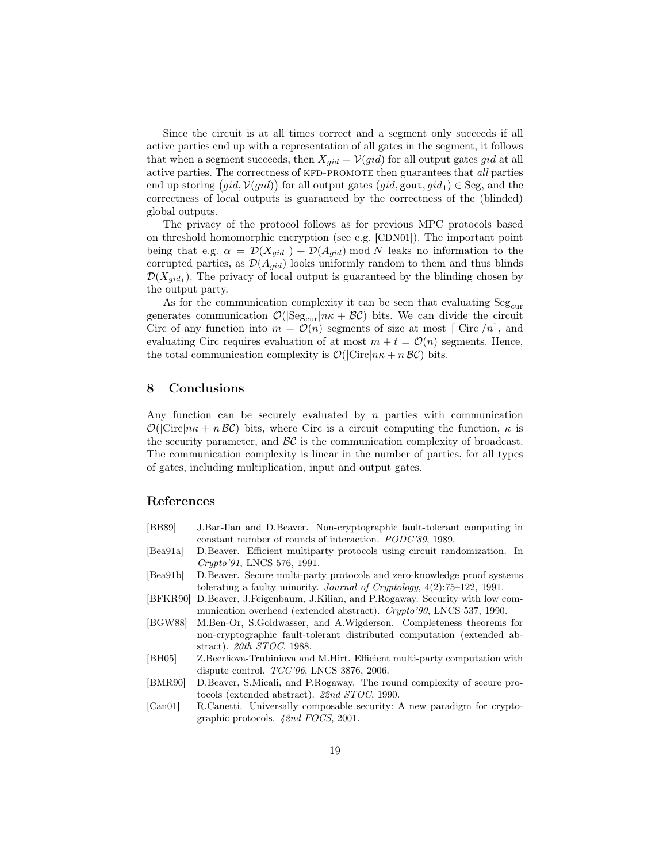Since the circuit is at all times correct and a segment only succeeds if all active parties end up with a representation of all gates in the segment, it follows that when a segment succeeds, then  $X_{gid} = V(gid)$  for all output gates gid at all active parties. The correctness of KFD-PROMOTE then guarantees that all parties end up storing  $(gid, V(gid))$  for all output gates  $(gid, \texttt{gout}, gid_1) \in \text{Seg}$ , and the correctness of local outputs is guaranteed by the correctness of the (blinded) global outputs.

The privacy of the protocol follows as for previous MPC protocols based on threshold homomorphic encryption (see e.g. [CDN01]). The important point being that e.g.  $\alpha = \mathcal{D}(X_{gid_1}) + \mathcal{D}(A_{gid})$  mod N leaks no information to the corrupted parties, as  $\mathcal{D}(A_{qid})$  looks uniformly random to them and thus blinds  $\mathcal{D}(X_{gid_1})$ . The privacy of local output is guaranteed by the blinding chosen by the output party.

As for the communication complexity it can be seen that evaluating  $Seg_{cur}$ generates communication  $\mathcal{O}(|\text{Seg}_{cur}|n\kappa + \mathcal{BC})$  bits. We can divide the circuit Circ of any function into  $m = \mathcal{O}(n)$  segments of size at most  $\lceil |\text{Circ}|/n \rceil$ , and evaluating Circ requires evaluation of at most  $m + t = \mathcal{O}(n)$  segments. Hence, the total communication complexity is  $\mathcal{O}(|\text{Circ}|n\kappa + n\mathcal{BC})$  bits.

# 8 Conclusions

Any function can be securely evaluated by n parties with communication  $\mathcal{O}(|\text{Circ}|n\kappa + n\mathcal{B}\mathcal{C})$  bits, where Circ is a circuit computing the function,  $\kappa$  is the security parameter, and  $\mathcal{BC}$  is the communication complexity of broadcast. The communication complexity is linear in the number of parties, for all types of gates, including multiplication, input and output gates.

# References

- [BB89] J.Bar-Ilan and D.Beaver. Non-cryptographic fault-tolerant computing in constant number of rounds of interaction. PODC'89, 1989.
- [Bea91a] D.Beaver. Efficient multiparty protocols using circuit randomization. In Crypto'91, LNCS 576, 1991.
- [Bea91b] D.Beaver. Secure multi-party protocols and zero-knowledge proof systems tolerating a faulty minority. Journal of Cryptology, 4(2):75–122, 1991.
- [BFKR90] D.Beaver, J.Feigenbaum, J.Kilian, and P.Rogaway. Security with low communication overhead (extended abstract). Crypto'90, LNCS 537, 1990.
- [BGW88] M.Ben-Or, S.Goldwasser, and A.Wigderson. Completeness theorems for non-cryptographic fault-tolerant distributed computation (extended abstract). 20th STOC, 1988.
- [BH05] Z.Beerliova-Trubiniova and M.Hirt. Efficient multi-party computation with dispute control. TCC'06, LNCS 3876, 2006.
- [BMR90] D.Beaver, S.Micali, and P.Rogaway. The round complexity of secure protocols (extended abstract). 22nd STOC, 1990.
- [Can01] R.Canetti. Universally composable security: A new paradigm for cryptographic protocols. 42nd FOCS, 2001.